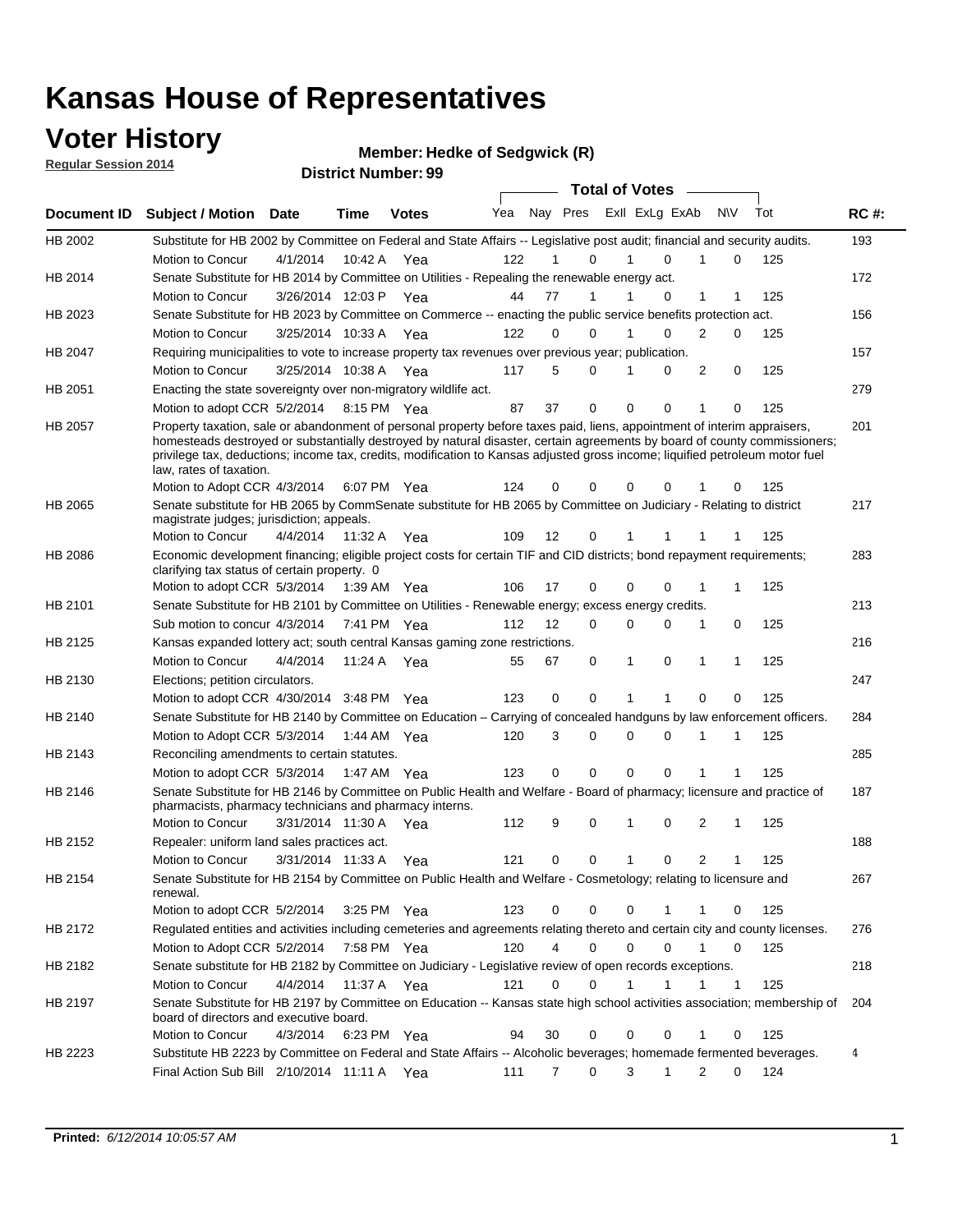### **Voter History**

**Regular Session 2014**

#### **Member: Hedke of Sedgwick (R)**

|             |                                                                                                                                                                                                                                                                                                                                                                                                                  |                       |             | <b>DISTING MAILINGL. 33</b> |     |    |                  | <b>Total of Votes</b>      |              |                     |     |     |             |
|-------------|------------------------------------------------------------------------------------------------------------------------------------------------------------------------------------------------------------------------------------------------------------------------------------------------------------------------------------------------------------------------------------------------------------------|-----------------------|-------------|-----------------------------|-----|----|------------------|----------------------------|--------------|---------------------|-----|-----|-------------|
| Document ID | <b>Subject / Motion</b>                                                                                                                                                                                                                                                                                                                                                                                          | Date                  | Time        | <b>Votes</b>                | Yea |    |                  | Nay Pres Exll ExLg ExAb    |              | <b>NV</b>           | Tot |     | <b>RC#:</b> |
| HB 2002     | Substitute for HB 2002 by Committee on Federal and State Affairs -- Legislative post audit; financial and security audits.                                                                                                                                                                                                                                                                                       |                       |             |                             |     |    |                  |                            |              |                     |     |     | 193         |
|             | Motion to Concur                                                                                                                                                                                                                                                                                                                                                                                                 | 4/1/2014              | 10:42 A     | Yea                         | 122 |    | 0                | $\Omega$                   |              | 0                   |     | 125 |             |
| HB 2014     | Senate Substitute for HB 2014 by Committee on Utilities - Repealing the renewable energy act.                                                                                                                                                                                                                                                                                                                    |                       |             |                             |     |    |                  |                            |              |                     |     |     | 172         |
|             | Motion to Concur                                                                                                                                                                                                                                                                                                                                                                                                 | 3/26/2014 12:03 P Yea |             |                             | 44  | 77 | 1                | 0                          | 1            | 1                   |     | 125 |             |
| HB 2023     | Senate Substitute for HB 2023 by Committee on Commerce -- enacting the public service benefits protection act.                                                                                                                                                                                                                                                                                                   |                       |             |                             |     |    |                  |                            |              |                     |     |     | 156         |
|             | Motion to Concur                                                                                                                                                                                                                                                                                                                                                                                                 | 3/25/2014 10:33 A Yea |             |                             | 122 |    | 0<br>0           | $\Omega$<br>1              | 2            | 0                   |     | 125 |             |
| HB 2047     | Requiring municipalities to vote to increase property tax revenues over previous year; publication.                                                                                                                                                                                                                                                                                                              |                       |             |                             |     |    |                  |                            |              |                     |     |     | 157         |
|             | Motion to Concur                                                                                                                                                                                                                                                                                                                                                                                                 | 3/25/2014 10:38 A Yea |             |                             | 117 |    | 5<br>0           | 0                          |              | 2<br>0              |     | 125 |             |
| HB 2051     | Enacting the state sovereignty over non-migratory wildlife act.                                                                                                                                                                                                                                                                                                                                                  |                       |             |                             |     |    |                  |                            |              |                     |     |     | 279         |
|             | Motion to adopt CCR 5/2/2014                                                                                                                                                                                                                                                                                                                                                                                     |                       | 8:15 PM Yea |                             | 87  | 37 | $\mathbf 0$      | $\mathbf 0$<br>0           | 1            | 0                   |     | 125 |             |
| HB 2057     | Property taxation, sale or abandonment of personal property before taxes paid, liens, appointment of interim appraisers,<br>homesteads destroyed or substantially destroyed by natural disaster, certain agreements by board of county commissioners;<br>privilege tax, deductions; income tax, credits, modification to Kansas adjusted gross income; liquified petroleum motor fuel<br>law, rates of taxation. |                       |             |                             |     |    |                  |                            |              |                     |     |     | 201         |
|             | Motion to Adopt CCR 4/3/2014                                                                                                                                                                                                                                                                                                                                                                                     |                       |             | 6:07 PM Yea                 | 124 | 0  | 0                | $\mathbf 0$<br>0           |              | 0                   |     | 125 |             |
| HB 2065     | Senate substitute for HB 2065 by CommSenate substitute for HB 2065 by Committee on Judiciary - Relating to district<br>magistrate judges; jurisdiction; appeals.                                                                                                                                                                                                                                                 |                       |             |                             |     |    |                  |                            |              |                     |     |     | 217         |
|             | Motion to Concur                                                                                                                                                                                                                                                                                                                                                                                                 | 4/4/2014              | 11:32 A     | Yea                         | 109 | 12 | 0                | 1                          |              |                     |     | 125 |             |
| HB 2086     | Economic development financing; eligible project costs for certain TIF and CID districts; bond repayment requirements;<br>clarifying tax status of certain property. 0                                                                                                                                                                                                                                           |                       |             |                             |     |    |                  |                            |              |                     |     |     | 283         |
|             | Motion to adopt CCR 5/3/2014                                                                                                                                                                                                                                                                                                                                                                                     |                       | 1:39 AM Yea |                             | 106 | 17 | 0                | $\mathbf 0$<br>$\Omega$    | 1            | 1                   |     | 125 |             |
| HB 2101     | Senate Substitute for HB 2101 by Committee on Utilities - Renewable energy; excess energy credits.                                                                                                                                                                                                                                                                                                               |                       |             |                             |     |    |                  |                            |              |                     |     |     | 213         |
|             | Sub motion to concur 4/3/2014                                                                                                                                                                                                                                                                                                                                                                                    |                       |             | 7:41 PM Yea                 | 112 | 12 | 0                | $\mathbf 0$<br>$\mathbf 0$ | 1            | 0                   |     | 125 |             |
| HB 2125     | Kansas expanded lottery act; south central Kansas gaming zone restrictions.                                                                                                                                                                                                                                                                                                                                      |                       |             |                             |     |    |                  |                            |              |                     |     |     | 216         |
|             | Motion to Concur                                                                                                                                                                                                                                                                                                                                                                                                 | 4/4/2014              | 11:24 A     | Yea                         | 55  | 67 | 0                | 1<br>0                     | 1            | 1                   |     | 125 |             |
| HB 2130     | Elections; petition circulators.                                                                                                                                                                                                                                                                                                                                                                                 |                       |             |                             |     |    |                  |                            |              |                     |     |     | 247         |
|             | Motion to adopt CCR 4/30/2014 3:48 PM Yea                                                                                                                                                                                                                                                                                                                                                                        |                       |             |                             | 123 | 0  | 0                |                            | $\Omega$     | 0                   |     | 125 |             |
| HB 2140     | Senate Substitute for HB 2140 by Committee on Education – Carrying of concealed handguns by law enforcement officers.                                                                                                                                                                                                                                                                                            |                       |             |                             |     |    |                  |                            |              |                     |     |     | 284         |
|             | Motion to Adopt CCR 5/3/2014                                                                                                                                                                                                                                                                                                                                                                                     |                       |             | 1:44 AM Yea                 | 120 |    | 3<br>0           | $\mathbf 0$<br>$\mathbf 0$ | 1            | 1                   |     | 125 |             |
| HB 2143     | Reconciling amendments to certain statutes.                                                                                                                                                                                                                                                                                                                                                                      |                       |             |                             |     |    |                  |                            |              |                     |     |     | 285         |
|             | Motion to adopt CCR 5/3/2014                                                                                                                                                                                                                                                                                                                                                                                     |                       | 1:47 AM Yea |                             | 123 |    | 0<br>0           | $\mathbf 0$<br>$\mathbf 0$ | 1            | 1                   |     | 125 |             |
| HB 2146     | Senate Substitute for HB 2146 by Committee on Public Health and Welfare - Board of pharmacy; licensure and practice of<br>pharmacists, pharmacy technicians and pharmacy interns.                                                                                                                                                                                                                                |                       |             |                             |     |    |                  |                            |              |                     |     |     | 187         |
|             | Motion to Concur                                                                                                                                                                                                                                                                                                                                                                                                 | 3/31/2014 11:30 A     |             | Yea                         | 112 |    | 9<br>0           | 1<br>0                     | 2            | 1                   |     | 125 |             |
| HB 2152     | Repealer: uniform land sales practices act.                                                                                                                                                                                                                                                                                                                                                                      |                       |             |                             |     |    |                  |                            |              |                     |     |     | 188         |
|             | Motion to Concur                                                                                                                                                                                                                                                                                                                                                                                                 | 3/31/2014 11:33 A     |             | Yea                         | 121 | 0  | 0                | 1<br>0                     |              | $\overline{2}$<br>1 |     | 125 |             |
| HB 2154     | Senate Substitute for HB 2154 by Committee on Public Health and Welfare - Cosmetology; relating to licensure and<br>renewal.                                                                                                                                                                                                                                                                                     |                       |             |                             |     |    |                  |                            |              |                     |     |     | 267         |
|             | Motion to adopt CCR 5/2/2014                                                                                                                                                                                                                                                                                                                                                                                     |                       |             | 3:25 PM Yea                 | 123 |    | 0<br>0           | 0<br>1                     | 1            | 0                   |     | 125 |             |
| HB 2172     | Regulated entities and activities including cemeteries and agreements relating thereto and certain city and county licenses.                                                                                                                                                                                                                                                                                     |                       |             |                             |     |    |                  |                            |              |                     |     |     | 276         |
|             | Motion to Adopt CCR 5/2/2014                                                                                                                                                                                                                                                                                                                                                                                     |                       |             | 7:58 PM Yea                 | 120 |    | 4<br>$\mathbf 0$ | $\mathbf 0$<br>$\Omega$    | $\mathbf{1}$ | $\mathbf 0$         |     | 125 |             |
| HB 2182     | Senate substitute for HB 2182 by Committee on Judiciary - Legislative review of open records exceptions.                                                                                                                                                                                                                                                                                                         |                       |             |                             |     |    |                  |                            |              |                     |     |     | 218         |
|             | Motion to Concur                                                                                                                                                                                                                                                                                                                                                                                                 | 4/4/2014              | 11:37 A Yea |                             | 121 | 0  | $\mathbf 0$      | $\mathbf{1}$<br>1          | 1            | $\mathbf{1}$        |     | 125 |             |
| HB 2197     | Senate Substitute for HB 2197 by Committee on Education -- Kansas state high school activities association; membership of<br>board of directors and executive board.                                                                                                                                                                                                                                             |                       |             |                             |     |    |                  |                            |              |                     |     |     | 204         |
|             | Motion to Concur                                                                                                                                                                                                                                                                                                                                                                                                 | 4/3/2014              |             | 6:23 PM Yea                 | 94  | 30 | 0                | 0<br>0                     | 1            | 0                   |     | 125 |             |
| HB 2223     | Substitute HB 2223 by Committee on Federal and State Affairs -- Alcoholic beverages; homemade fermented beverages.                                                                                                                                                                                                                                                                                               |                       |             |                             |     |    |                  |                            |              |                     |     |     | 4           |
|             | Final Action Sub Bill 2/10/2014 11:11 A Yea                                                                                                                                                                                                                                                                                                                                                                      |                       |             |                             | 111 |    | 0<br>7           | 3<br>1                     |              | 2<br>0              |     | 124 |             |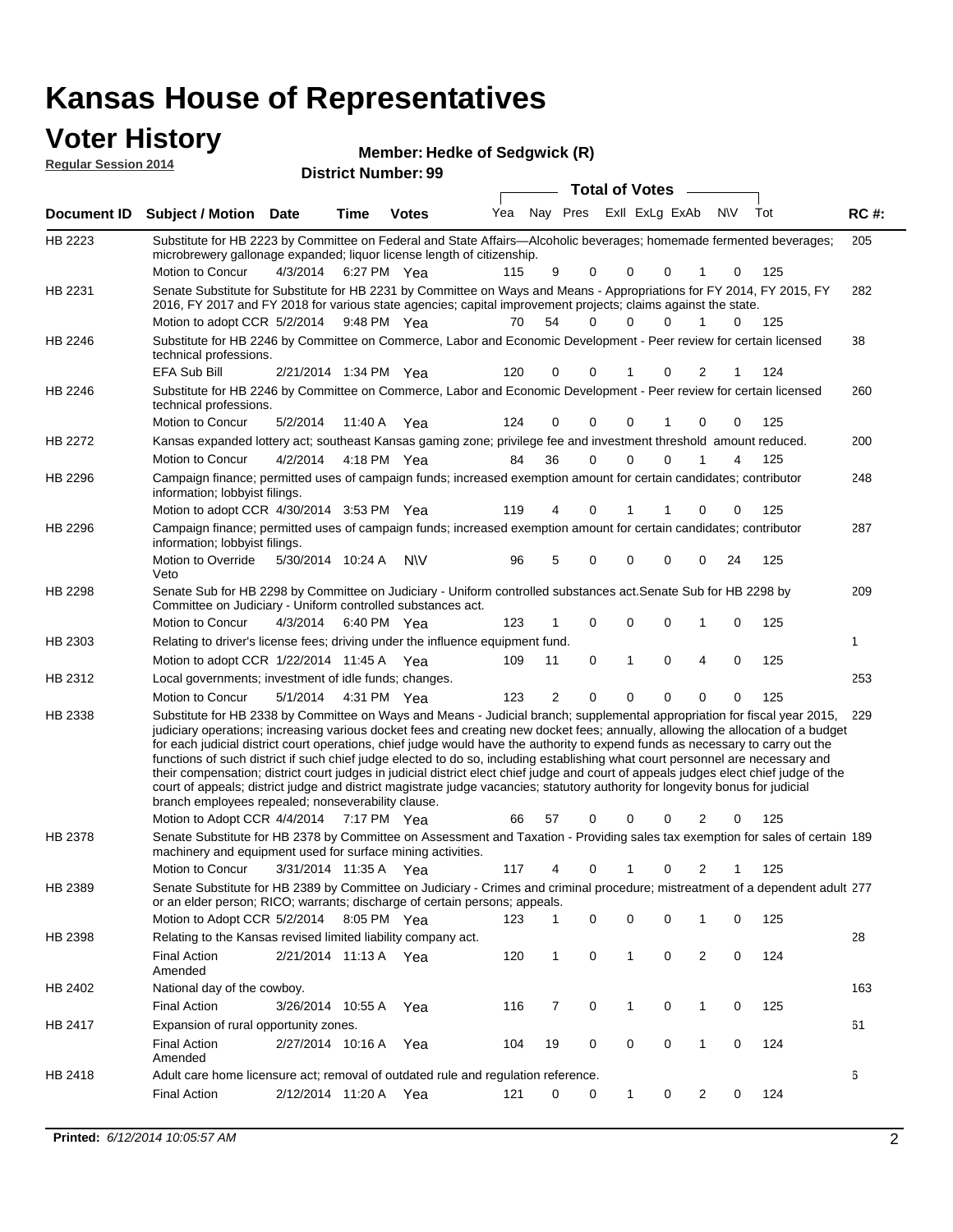### **Voter History**

| <b>VULGE LIBERTY</b><br><b>Regular Session 2014</b> |                                                                                                                                                                                                                                        |          |             | Member: Hedke of Sedgwick (R)<br><b>District Number: 99</b> |     |     |      |                       |                |           |     |             |  |
|-----------------------------------------------------|----------------------------------------------------------------------------------------------------------------------------------------------------------------------------------------------------------------------------------------|----------|-------------|-------------------------------------------------------------|-----|-----|------|-----------------------|----------------|-----------|-----|-------------|--|
|                                                     |                                                                                                                                                                                                                                        |          |             |                                                             |     |     |      | <b>Total of Votes</b> |                |           |     |             |  |
| Document ID                                         | <b>Subject / Motion Date</b>                                                                                                                                                                                                           |          | Time        | <b>Votes</b>                                                | Yea | Nav | Pres |                       | Exll ExLg ExAb | <b>NV</b> | Tot | <b>RC#:</b> |  |
| HB 2223                                             | Substitute for HB 2223 by Committee on Federal and State Affairs—Alcoholic beverages; homemade fermented beverages;<br>microbrewery gallonage expanded; liquor license length of citizenship.                                          |          |             |                                                             |     |     |      |                       |                |           |     | 205         |  |
|                                                     | Motion to Concur                                                                                                                                                                                                                       | 4/3/2014 | 6:27 PM Yea |                                                             | 115 | 9   | - 0  | - 0                   |                |           | 125 |             |  |
| HB 2231                                             | Senate Substitute for Substitute for HB 2231 by Committee on Ways and Means - Appropriations for FY 2014, FY 2015, FY<br>0040. EV 0047 and EV 0040 for resignation and developmental incrementational and address application of the s |          |             |                                                             |     |     |      |                       |                |           |     | 282         |  |

| HB 2231 | Senate Substitute for Substitute for HB 2231 by Committee on Ways and Means - Appropriations for FY 2014, FY 2015, FY<br>2016, FY 2017 and FY 2018 for various state agencies; capital improvement projects; claims against the state.                                                                                                                                                                                                                                                                                                                                                                                                                                                                                                                                                                                                                              |                       |             |           |     |                |             |              |             |                |    |     | 282 |
|---------|---------------------------------------------------------------------------------------------------------------------------------------------------------------------------------------------------------------------------------------------------------------------------------------------------------------------------------------------------------------------------------------------------------------------------------------------------------------------------------------------------------------------------------------------------------------------------------------------------------------------------------------------------------------------------------------------------------------------------------------------------------------------------------------------------------------------------------------------------------------------|-----------------------|-------------|-----------|-----|----------------|-------------|--------------|-------------|----------------|----|-----|-----|
|         | Motion to adopt CCR 5/2/2014                                                                                                                                                                                                                                                                                                                                                                                                                                                                                                                                                                                                                                                                                                                                                                                                                                        |                       | 9:48 PM Yea |           | 70  | 54             | 0           | 0            | 0           | $\mathbf 1$    | 0  | 125 |     |
| HB 2246 | Substitute for HB 2246 by Committee on Commerce, Labor and Economic Development - Peer review for certain licensed<br>technical professions.                                                                                                                                                                                                                                                                                                                                                                                                                                                                                                                                                                                                                                                                                                                        |                       |             |           |     |                |             |              |             |                |    |     | 38  |
|         | EFA Sub Bill                                                                                                                                                                                                                                                                                                                                                                                                                                                                                                                                                                                                                                                                                                                                                                                                                                                        | 2/21/2014 1:34 PM Yea |             |           | 120 | 0              | 0           |              | 0           | 2              |    | 124 |     |
| HB 2246 | Substitute for HB 2246 by Committee on Commerce, Labor and Economic Development - Peer review for certain licensed<br>technical professions.                                                                                                                                                                                                                                                                                                                                                                                                                                                                                                                                                                                                                                                                                                                        |                       |             |           |     |                |             |              |             |                |    |     | 260 |
|         | Motion to Concur                                                                                                                                                                                                                                                                                                                                                                                                                                                                                                                                                                                                                                                                                                                                                                                                                                                    | 5/2/2014              | 11:40 A Yea |           | 124 | 0              | 0           | 0            |             | 0              | 0  | 125 |     |
| HB 2272 | Kansas expanded lottery act; southeast Kansas gaming zone; privilege fee and investment threshold amount reduced.                                                                                                                                                                                                                                                                                                                                                                                                                                                                                                                                                                                                                                                                                                                                                   |                       |             |           |     |                |             |              |             |                |    |     | 200 |
|         | Motion to Concur                                                                                                                                                                                                                                                                                                                                                                                                                                                                                                                                                                                                                                                                                                                                                                                                                                                    | 4/2/2014              | 4:18 PM Yea |           | 84  | 36             | 0           | 0            | $\mathbf 0$ |                | 4  | 125 |     |
| HB 2296 | Campaign finance; permitted uses of campaign funds; increased exemption amount for certain candidates; contributor<br>information; lobbyist filings.                                                                                                                                                                                                                                                                                                                                                                                                                                                                                                                                                                                                                                                                                                                |                       |             |           |     |                |             |              |             |                |    |     | 248 |
|         | Motion to adopt CCR 4/30/2014 3:53 PM Yea                                                                                                                                                                                                                                                                                                                                                                                                                                                                                                                                                                                                                                                                                                                                                                                                                           |                       |             |           | 119 |                | 0           |              |             | 0              | 0  | 125 |     |
| HB 2296 | Campaign finance; permitted uses of campaign funds; increased exemption amount for certain candidates; contributor<br>information; lobbyist filings.                                                                                                                                                                                                                                                                                                                                                                                                                                                                                                                                                                                                                                                                                                                |                       |             |           |     |                |             |              |             |                |    |     | 287 |
|         | Motion to Override<br>Veto                                                                                                                                                                                                                                                                                                                                                                                                                                                                                                                                                                                                                                                                                                                                                                                                                                          | 5/30/2014 10:24 A     |             | <b>NV</b> | 96  | 5              | 0           | $\mathbf 0$  | $\mathbf 0$ | 0              | 24 | 125 |     |
| HB 2298 | Senate Sub for HB 2298 by Committee on Judiciary - Uniform controlled substances act. Senate Sub for HB 2298 by<br>Committee on Judiciary - Uniform controlled substances act.                                                                                                                                                                                                                                                                                                                                                                                                                                                                                                                                                                                                                                                                                      |                       |             |           |     |                |             |              |             |                |    |     | 209 |
|         | Motion to Concur                                                                                                                                                                                                                                                                                                                                                                                                                                                                                                                                                                                                                                                                                                                                                                                                                                                    | 4/3/2014              | 6:40 PM Yea |           | 123 |                | 0           | $\mathbf 0$  | $\mathbf 0$ | 1              | 0  | 125 |     |
| HB 2303 | Relating to driver's license fees; driving under the influence equipment fund.                                                                                                                                                                                                                                                                                                                                                                                                                                                                                                                                                                                                                                                                                                                                                                                      |                       |             |           |     |                |             |              |             |                |    |     | 1   |
|         | Motion to adopt CCR 1/22/2014 11:45 A Yea                                                                                                                                                                                                                                                                                                                                                                                                                                                                                                                                                                                                                                                                                                                                                                                                                           |                       |             |           | 109 | 11             | $\mathbf 0$ | 1            | $\mathbf 0$ | 4              | 0  | 125 |     |
| HB 2312 | Local governments; investment of idle funds; changes.                                                                                                                                                                                                                                                                                                                                                                                                                                                                                                                                                                                                                                                                                                                                                                                                               |                       |             |           |     |                |             |              |             |                |    |     | 253 |
|         | Motion to Concur                                                                                                                                                                                                                                                                                                                                                                                                                                                                                                                                                                                                                                                                                                                                                                                                                                                    | 5/1/2014              | 4:31 PM Yea |           | 123 | $\overline{2}$ | $\Omega$    | $\mathbf 0$  | $\mathbf 0$ | 0              | 0  | 125 |     |
| HB 2338 | Substitute for HB 2338 by Committee on Ways and Means - Judicial branch; supplemental appropriation for fiscal year 2015,<br>judiciary operations; increasing various docket fees and creating new docket fees; annually, allowing the allocation of a budget<br>for each judicial district court operations, chief judge would have the authority to expend funds as necessary to carry out the<br>functions of such district if such chief judge elected to do so, including establishing what court personnel are necessary and<br>their compensation; district court judges in judicial district elect chief judge and court of appeals judges elect chief judge of the<br>court of appeals; district judge and district magistrate judge vacancies; statutory authority for longevity bonus for judicial<br>branch employees repealed; nonseverability clause. |                       |             |           |     |                |             |              |             |                |    |     | 229 |
|         | Motion to Adopt CCR 4/4/2014 7:17 PM Yea                                                                                                                                                                                                                                                                                                                                                                                                                                                                                                                                                                                                                                                                                                                                                                                                                            |                       |             |           | 66  | 57             | 0           | 0            | $\Omega$    | 2              | 0  | 125 |     |
| HB 2378 | Senate Substitute for HB 2378 by Committee on Assessment and Taxation - Providing sales tax exemption for sales of certain 189<br>machinery and equipment used for surface mining activities.                                                                                                                                                                                                                                                                                                                                                                                                                                                                                                                                                                                                                                                                       |                       |             |           |     |                |             |              |             |                |    |     |     |
|         | Motion to Concur                                                                                                                                                                                                                                                                                                                                                                                                                                                                                                                                                                                                                                                                                                                                                                                                                                                    | 3/31/2014 11:35 A     |             | Yea       | 117 | 4              | 0           |              | $\Omega$    | 2              |    | 125 |     |
| HB 2389 | Senate Substitute for HB 2389 by Committee on Judiciary - Crimes and criminal procedure; mistreatment of a dependent adult 277<br>or an elder person; RICO; warrants; discharge of certain persons; appeals.                                                                                                                                                                                                                                                                                                                                                                                                                                                                                                                                                                                                                                                        |                       |             |           |     |                |             | 0            |             |                |    |     |     |
|         | Motion to Adopt CCR 5/2/2014                                                                                                                                                                                                                                                                                                                                                                                                                                                                                                                                                                                                                                                                                                                                                                                                                                        |                       | 8:05 PM Yea |           | 123 | 1              | 0           |              | 0           | 1              | 0  | 125 |     |
| HB 2398 | Relating to the Kansas revised limited liability company act.                                                                                                                                                                                                                                                                                                                                                                                                                                                                                                                                                                                                                                                                                                                                                                                                       |                       |             |           |     |                |             |              |             |                |    |     | 28  |
|         | <b>Final Action</b><br>Amended                                                                                                                                                                                                                                                                                                                                                                                                                                                                                                                                                                                                                                                                                                                                                                                                                                      | 2/21/2014 11:13 A Yea |             |           | 120 | 1              | $\mathbf 0$ | 1            | $\mathbf 0$ | $\overline{2}$ | 0  | 124 |     |
| HB 2402 | National day of the cowboy.                                                                                                                                                                                                                                                                                                                                                                                                                                                                                                                                                                                                                                                                                                                                                                                                                                         |                       |             |           |     |                |             |              |             |                |    |     | 163 |
|         | <b>Final Action</b>                                                                                                                                                                                                                                                                                                                                                                                                                                                                                                                                                                                                                                                                                                                                                                                                                                                 | 3/26/2014 10:55 A     |             | Yea       | 116 | 7              | 0           | $\mathbf{1}$ | 0           | 1              | 0  | 125 |     |
| HB 2417 | Expansion of rural opportunity zones.                                                                                                                                                                                                                                                                                                                                                                                                                                                                                                                                                                                                                                                                                                                                                                                                                               |                       |             |           |     |                |             |              |             |                |    |     | 61  |
|         | <b>Final Action</b><br>Amended                                                                                                                                                                                                                                                                                                                                                                                                                                                                                                                                                                                                                                                                                                                                                                                                                                      | 2/27/2014 10:16 A     |             | Yea       | 104 | 19             | 0           | $\mathbf 0$  | 0           | $\mathbf{1}$   | 0  | 124 |     |
| HB 2418 | Adult care home licensure act; removal of outdated rule and regulation reference.                                                                                                                                                                                                                                                                                                                                                                                                                                                                                                                                                                                                                                                                                                                                                                                   |                       |             |           |     |                |             |              |             |                |    |     | 6   |
|         | <b>Final Action</b>                                                                                                                                                                                                                                                                                                                                                                                                                                                                                                                                                                                                                                                                                                                                                                                                                                                 | 2/12/2014 11:20 A Yea |             |           | 121 | 0              | 0           | $\mathbf{1}$ | 0           | $\overline{2}$ | 0  | 124 |     |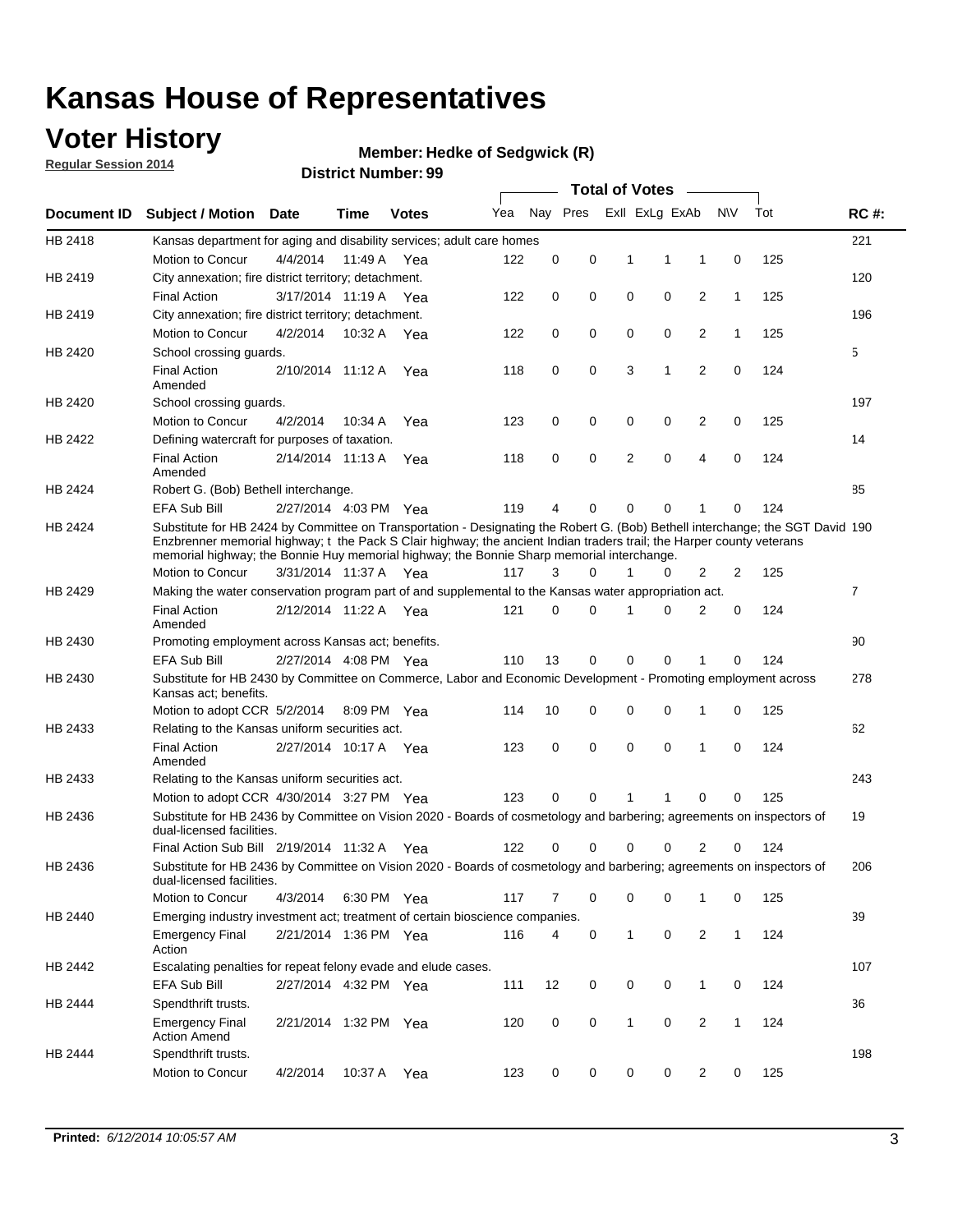## **Voter History**

**Regular Session 2014**

#### **Member: Hedke of Sedgwick (R)**

|                    |                                                                                                                                                                                                                                                                                                                                                      |                       |             | <b>DISTRICT MAILINGL. 39</b> |     |                |          | <b>Total of Votes</b> |                         | $\sim$                  |                |     |                |
|--------------------|------------------------------------------------------------------------------------------------------------------------------------------------------------------------------------------------------------------------------------------------------------------------------------------------------------------------------------------------------|-----------------------|-------------|------------------------------|-----|----------------|----------|-----------------------|-------------------------|-------------------------|----------------|-----|----------------|
| <b>Document ID</b> | <b>Subject / Motion Date</b>                                                                                                                                                                                                                                                                                                                         |                       | Time        | <b>Votes</b>                 | Yea |                |          |                       | Nay Pres Exll ExLg ExAb |                         | <b>NV</b>      | Tot | <b>RC#:</b>    |
| HB 2418            | Kansas department for aging and disability services; adult care homes                                                                                                                                                                                                                                                                                |                       |             |                              |     |                |          |                       |                         |                         |                |     | 221            |
|                    | <b>Motion to Concur</b>                                                                                                                                                                                                                                                                                                                              | 4/4/2014              | 11:49 A     | Yea                          | 122 | 0              | 0        | 1                     | 1                       | 1                       | $\mathbf 0$    | 125 |                |
| HB 2419            | City annexation; fire district territory; detachment.                                                                                                                                                                                                                                                                                                |                       |             |                              |     |                |          |                       |                         |                         |                |     | 120            |
|                    | <b>Final Action</b>                                                                                                                                                                                                                                                                                                                                  | 3/17/2014 11:19 A Yea |             |                              | 122 | 0              | 0        | $\mathbf 0$           | 0                       | $\overline{2}$          | 1              | 125 |                |
| HB 2419            | City annexation; fire district territory; detachment.                                                                                                                                                                                                                                                                                                |                       |             |                              |     |                |          |                       |                         |                         |                |     | 196            |
|                    | Motion to Concur                                                                                                                                                                                                                                                                                                                                     | 4/2/2014              | 10:32 A Yea |                              | 122 | 0              | 0        | $\mathbf 0$           | 0                       | $\overline{2}$          | $\mathbf{1}$   | 125 |                |
| HB 2420            | School crossing guards.                                                                                                                                                                                                                                                                                                                              |                       |             |                              |     |                |          |                       |                         |                         |                |     | 5              |
|                    | <b>Final Action</b><br>Amended                                                                                                                                                                                                                                                                                                                       | 2/10/2014 11:12 A     |             | Yea                          | 118 | 0              | 0        | 3                     | 1                       | $\overline{2}$          | 0              | 124 |                |
| HB 2420            | School crossing guards.                                                                                                                                                                                                                                                                                                                              |                       |             |                              |     |                |          |                       |                         |                         |                |     | 197            |
|                    | <b>Motion to Concur</b>                                                                                                                                                                                                                                                                                                                              | 4/2/2014              | 10:34 A     | Yea                          | 123 | 0              | 0        | 0                     | 0                       | 2                       | 0              | 125 |                |
| HB 2422            | Defining watercraft for purposes of taxation.                                                                                                                                                                                                                                                                                                        |                       |             |                              |     |                |          |                       |                         |                         |                |     | 14             |
|                    | <b>Final Action</b><br>Amended                                                                                                                                                                                                                                                                                                                       | 2/14/2014 11:13 A     |             | Yea                          | 118 | 0              | 0        | 2                     | 0                       | 4                       | $\mathbf 0$    | 124 |                |
| HB 2424            | Robert G. (Bob) Bethell interchange.                                                                                                                                                                                                                                                                                                                 |                       |             |                              |     |                |          |                       |                         |                         |                |     | 85             |
|                    | <b>EFA Sub Bill</b>                                                                                                                                                                                                                                                                                                                                  | 2/27/2014 4:03 PM Yea |             |                              | 119 | 4              | 0        | 0                     | 0                       | 1                       | 0              | 124 |                |
| HB 2424            | Substitute for HB 2424 by Committee on Transportation - Designating the Robert G. (Bob) Bethell interchange; the SGT David 190<br>Enzbrenner memorial highway; t the Pack S Clair highway; the ancient Indian traders trail; the Harper county veterans<br>memorial highway; the Bonnie Huy memorial highway; the Bonnie Sharp memorial interchange. |                       |             |                              |     |                |          |                       |                         |                         |                |     |                |
|                    | Motion to Concur                                                                                                                                                                                                                                                                                                                                     | 3/31/2014 11:37 A Yea |             |                              | 117 | 3              | $\Omega$ | 1                     | 0                       | 2                       | $\overline{2}$ | 125 |                |
| HB 2429            | Making the water conservation program part of and supplemental to the Kansas water appropriation act.                                                                                                                                                                                                                                                |                       |             |                              |     |                |          |                       |                         |                         |                |     | $\overline{7}$ |
|                    | <b>Final Action</b><br>Amended                                                                                                                                                                                                                                                                                                                       | 2/12/2014 11:22 A Yea |             |                              | 121 | $\Omega$       | $\Omega$ | 1                     | 0                       | $\overline{2}$          | $\mathbf 0$    | 124 |                |
| HB 2430            | Promoting employment across Kansas act; benefits.                                                                                                                                                                                                                                                                                                    |                       |             |                              |     |                |          |                       |                         |                         |                |     | 90             |
|                    | <b>EFA Sub Bill</b>                                                                                                                                                                                                                                                                                                                                  | 2/27/2014 4:08 PM Yea |             |                              | 110 | 13             | 0        | $\mathbf 0$           | 0                       |                         | $\mathbf 0$    | 124 |                |
| HB 2430            | Substitute for HB 2430 by Committee on Commerce, Labor and Economic Development - Promoting employment across<br>Kansas act; benefits.                                                                                                                                                                                                               |                       |             |                              |     |                |          |                       |                         |                         |                |     | 278            |
|                    | Motion to adopt CCR 5/2/2014                                                                                                                                                                                                                                                                                                                         |                       | 8:09 PM Yea |                              | 114 | 10             | 0        | 0                     | 0                       | 1                       | $\mathbf 0$    | 125 |                |
| HB 2433            | Relating to the Kansas uniform securities act.                                                                                                                                                                                                                                                                                                       |                       |             |                              |     |                |          |                       |                         |                         |                |     | 62             |
|                    | <b>Final Action</b><br>Amended                                                                                                                                                                                                                                                                                                                       | 2/27/2014 10:17 A Yea |             |                              | 123 | 0              | 0        | 0                     | 0                       | 1                       | $\mathbf 0$    | 124 |                |
| HB 2433            | Relating to the Kansas uniform securities act.                                                                                                                                                                                                                                                                                                       |                       |             |                              |     |                |          |                       |                         |                         |                |     | 243            |
|                    | Motion to adopt CCR 4/30/2014 3:27 PM Yea                                                                                                                                                                                                                                                                                                            |                       |             |                              | 123 | $\Omega$       | $\Omega$ | 1                     | 1                       | $\Omega$                | 0              | 125 |                |
| HB 2436            | Substitute for HB 2436 by Committee on Vision 2020 - Boards of cosmetology and barbering; agreements on inspectors of<br>dual-licensed facilities.                                                                                                                                                                                                   |                       |             |                              |     |                |          |                       |                         |                         |                |     | 19             |
|                    | Final Action Sub Bill 2/19/2014 11:32 A                                                                                                                                                                                                                                                                                                              |                       |             | Yea                          | 122 |                | 0        | U                     | O                       | 2                       | 0              | 124 |                |
| HB 2436            | Substitute for HB 2436 by Committee on Vision 2020 - Boards of cosmetology and barbering; agreements on inspectors of<br>dual-licensed facilities.                                                                                                                                                                                                   |                       |             |                              |     |                |          |                       |                         |                         |                |     | 206            |
|                    | <b>Motion to Concur</b>                                                                                                                                                                                                                                                                                                                              | 4/3/2014              | 6:30 PM Yea |                              | 117 | $\overline{7}$ | 0        | 0                     | 0                       | 1                       | 0              | 125 |                |
| HB 2440            | Emerging industry investment act; treatment of certain bioscience companies.                                                                                                                                                                                                                                                                         |                       |             |                              |     |                |          |                       |                         |                         |                |     | 39             |
|                    | <b>Emergency Final</b><br>Action                                                                                                                                                                                                                                                                                                                     | 2/21/2014 1:36 PM Yea |             |                              | 116 | 4              | 0        | $\mathbf{1}$          | 0                       | $\overline{2}$          | 1              | 124 |                |
| HB 2442            | Escalating penalties for repeat felony evade and elude cases.                                                                                                                                                                                                                                                                                        |                       |             |                              |     |                |          |                       |                         |                         |                |     | 107            |
|                    | <b>EFA Sub Bill</b>                                                                                                                                                                                                                                                                                                                                  | 2/27/2014 4:32 PM Yea |             |                              | 111 | 12             | 0        | 0                     | 0                       | $\mathbf{1}$            | 0              | 124 |                |
| HB 2444            | Spendthrift trusts.                                                                                                                                                                                                                                                                                                                                  |                       |             |                              |     |                |          |                       |                         |                         |                |     | 36             |
|                    | <b>Emergency Final</b><br><b>Action Amend</b>                                                                                                                                                                                                                                                                                                        | 2/21/2014 1:32 PM Yea |             |                              | 120 | 0              | 0        | $\mathbf{1}$          | 0                       | $\overline{\mathbf{c}}$ | 1              | 124 |                |
| HB 2444            | Spendthrift trusts.                                                                                                                                                                                                                                                                                                                                  |                       |             |                              |     |                |          |                       |                         |                         |                |     | 198            |
|                    | Motion to Concur                                                                                                                                                                                                                                                                                                                                     | 4/2/2014              | 10:37 A     | Yea                          | 123 | 0              | 0        | 0                     | 0                       | $\overline{2}$          | 0              | 125 |                |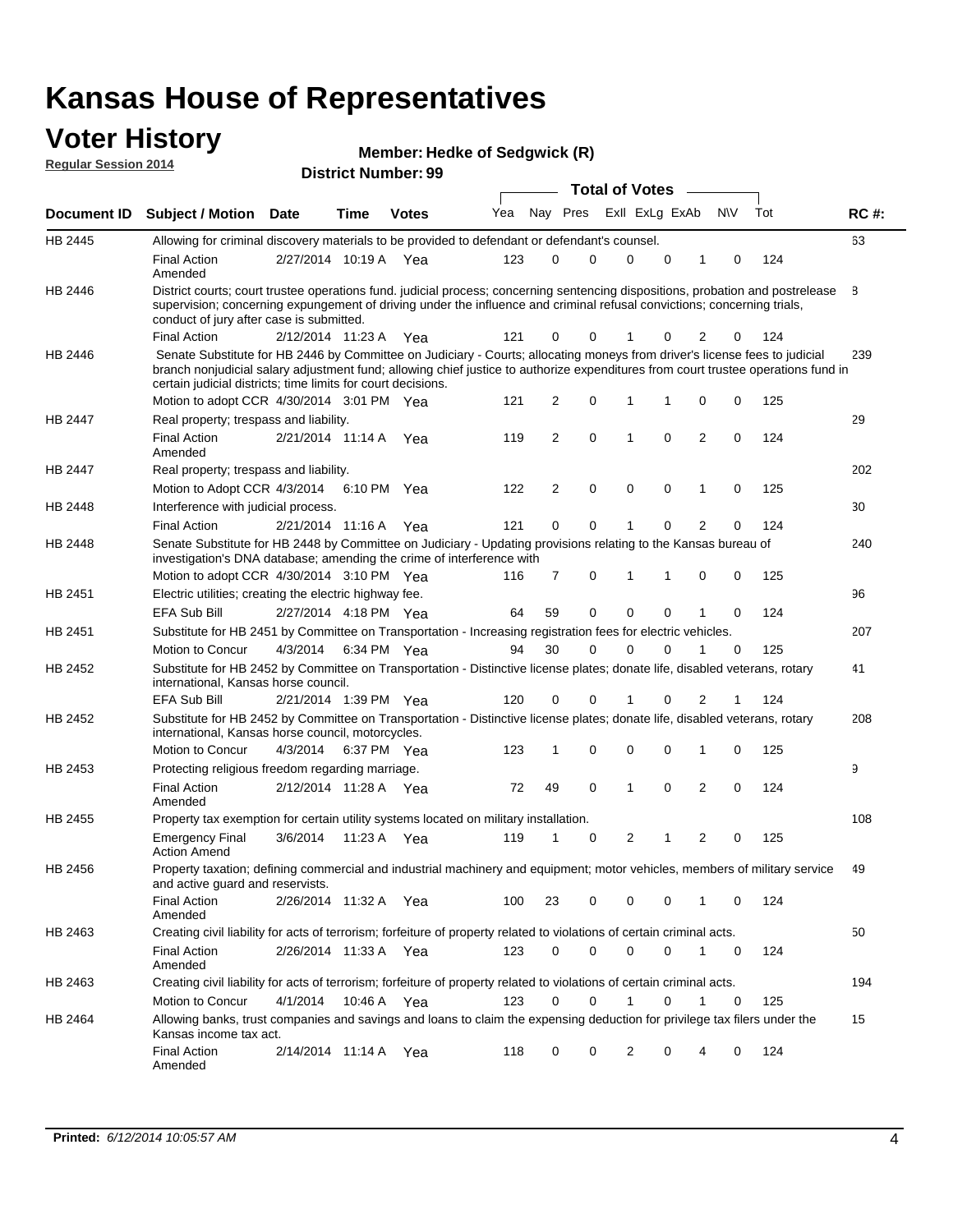#### **Voter History Regular Session 2014**

| <b>District Number: 99</b> |  |
|----------------------------|--|
|                            |  |

|         |                                                                                                                                                                                                                                                                                                                                 |                       |      |              |     |    |             | <b>Total of Votes</b> |             |                |             |     |             |
|---------|---------------------------------------------------------------------------------------------------------------------------------------------------------------------------------------------------------------------------------------------------------------------------------------------------------------------------------|-----------------------|------|--------------|-----|----|-------------|-----------------------|-------------|----------------|-------------|-----|-------------|
|         | Document ID Subject / Motion Date                                                                                                                                                                                                                                                                                               |                       | Time | <b>Votes</b> | Yea |    | Nay Pres    | Exll ExLg ExAb        |             |                | N\V         | Tot | <b>RC#:</b> |
| HB 2445 | Allowing for criminal discovery materials to be provided to defendant or defendant's counsel.                                                                                                                                                                                                                                   |                       |      |              |     |    |             |                       |             |                |             |     | 63          |
|         | <b>Final Action</b><br>Amended                                                                                                                                                                                                                                                                                                  | 2/27/2014 10:19 A Yea |      |              | 123 | 0  | 0           | 0                     | 0           | 1              | 0           | 124 |             |
| HB 2446 | District courts; court trustee operations fund. judicial process; concerning sentencing dispositions, probation and postrelease<br>supervision; concerning expungement of driving under the influence and criminal refusal convictions; concerning trials,<br>conduct of jury after case is submitted.                          |                       |      |              |     |    |             |                       |             |                |             |     | 8           |
|         | <b>Final Action</b>                                                                                                                                                                                                                                                                                                             | 2/12/2014 11:23 A Yea |      |              | 121 | 0  | 0           |                       | 0           | 2              | 0           | 124 |             |
| HB 2446 | Senate Substitute for HB 2446 by Committee on Judiciary - Courts; allocating moneys from driver's license fees to judicial<br>branch nonjudicial salary adjustment fund; allowing chief justice to authorize expenditures from court trustee operations fund in<br>certain judicial districts; time limits for court decisions. |                       |      |              |     |    |             |                       |             |                |             |     | 239         |
|         | Motion to adopt CCR 4/30/2014 3:01 PM Yea                                                                                                                                                                                                                                                                                       |                       |      |              | 121 | 2  | 0           | $\mathbf 1$           |             | 0              | 0           | 125 |             |
| HB 2447 | Real property; trespass and liability.                                                                                                                                                                                                                                                                                          |                       |      |              |     |    |             |                       |             |                |             |     | 29          |
|         | <b>Final Action</b><br>Amended                                                                                                                                                                                                                                                                                                  | 2/21/2014 11:14 A Yea |      |              | 119 | 2  | $\mathbf 0$ | $\overline{1}$        | $\mathbf 0$ | 2              | 0           | 124 |             |
| HB 2447 | Real property; trespass and liability.                                                                                                                                                                                                                                                                                          |                       |      |              |     |    |             |                       |             |                |             |     | 202         |
|         | Motion to Adopt CCR 4/3/2014                                                                                                                                                                                                                                                                                                    |                       |      | 6:10 PM Yea  | 122 | 2  | 0           | $\mathbf 0$           | 0           | 1              | 0           | 125 |             |
| HB 2448 | Interference with judicial process.                                                                                                                                                                                                                                                                                             |                       |      |              |     |    |             |                       |             |                |             |     | 30          |
|         | <b>Final Action</b>                                                                                                                                                                                                                                                                                                             | 2/21/2014 11:16 A Yea |      |              | 121 | 0  | 0           | 1                     | 0           | $\overline{2}$ | 0           | 124 |             |
| HB 2448 | Senate Substitute for HB 2448 by Committee on Judiciary - Updating provisions relating to the Kansas bureau of<br>investigation's DNA database; amending the crime of interference with                                                                                                                                         |                       |      |              |     |    |             |                       |             |                |             |     | 240         |
|         | Motion to adopt CCR 4/30/2014 3:10 PM Yea                                                                                                                                                                                                                                                                                       |                       |      |              | 116 | 7  | 0           | 1                     | 1           | 0              | 0           | 125 |             |
| HB 2451 | Electric utilities; creating the electric highway fee.                                                                                                                                                                                                                                                                          |                       |      |              |     |    |             |                       |             |                |             |     | 96          |
|         | <b>EFA Sub Bill</b>                                                                                                                                                                                                                                                                                                             | 2/27/2014 4:18 PM Yea |      |              | 64  | 59 | 0           | $\mathbf 0$           | 0           | 1              | 0           | 124 |             |
| HB 2451 | Substitute for HB 2451 by Committee on Transportation - Increasing registration fees for electric vehicles.                                                                                                                                                                                                                     |                       |      |              |     |    |             |                       |             |                |             |     | 207         |
|         | Motion to Concur                                                                                                                                                                                                                                                                                                                | 4/3/2014              |      | 6:34 PM Yea  | 94  | 30 | 0           | $\Omega$              | 0           |                | 0           | 125 |             |
| HB 2452 | Substitute for HB 2452 by Committee on Transportation - Distinctive license plates; donate life, disabled veterans, rotary<br>international, Kansas horse council.                                                                                                                                                              |                       |      |              |     |    |             |                       |             |                |             |     | 41          |
|         | <b>EFA Sub Bill</b>                                                                                                                                                                                                                                                                                                             | 2/21/2014 1:39 PM Yea |      |              | 120 | 0  | 0           |                       | 0           | 2              | 1           | 124 |             |
| HB 2452 | Substitute for HB 2452 by Committee on Transportation - Distinctive license plates; donate life, disabled veterans, rotary<br>international, Kansas horse council, motorcycles.                                                                                                                                                 |                       |      |              |     |    |             |                       |             |                |             |     | 208         |
|         | Motion to Concur                                                                                                                                                                                                                                                                                                                | 4/3/2014              |      | 6:37 PM Yea  | 123 | 1  | 0           | $\mathbf 0$           | 0           | 1              | 0           | 125 |             |
| HB 2453 | Protecting religious freedom regarding marriage.                                                                                                                                                                                                                                                                                |                       |      |              |     |    |             |                       |             |                |             |     | 9           |
|         | <b>Final Action</b><br>Amended                                                                                                                                                                                                                                                                                                  | 2/12/2014 11:28 A Yea |      |              | 72  | 49 | 0           | 1                     | $\Omega$    | $\overline{2}$ | 0           | 124 |             |
| HB 2455 | Property tax exemption for certain utility systems located on military installation.                                                                                                                                                                                                                                            |                       |      |              |     |    |             |                       |             |                |             |     | 108         |
|         | <b>Emergency Final</b><br><b>Action Amend</b>                                                                                                                                                                                                                                                                                   | 3/6/2014              |      | 11:23 A Yea  | 119 | 1  | 0           | 2                     | 1           | 2              | 0           | 125 |             |
| HB 2456 | Property taxation; defining commercial and industrial machinery and equipment; motor vehicles, members of military service<br>and active guard and reservists.                                                                                                                                                                  |                       |      |              |     |    |             |                       |             |                |             |     | 49          |
|         | <b>Final Action</b><br>Amended                                                                                                                                                                                                                                                                                                  | 2/26/2014 11:32 A Yea |      |              | 100 | 23 | 0           | 0                     | 0           | 1              | 0           | 124 |             |
| HB 2463 | Creating civil liability for acts of terrorism; forfeiture of property related to violations of certain criminal acts.                                                                                                                                                                                                          |                       |      |              |     |    |             |                       |             |                |             |     | 50          |
|         | <b>Final Action</b><br>Amended                                                                                                                                                                                                                                                                                                  | 2/26/2014 11:33 A Yea |      |              | 123 | 0  | 0           | 0                     | 0           | $\mathbf{1}$   | $\mathbf 0$ | 124 |             |
| HB 2463 | Creating civil liability for acts of terrorism; forfeiture of property related to violations of certain criminal acts.                                                                                                                                                                                                          |                       |      |              |     |    |             |                       |             |                |             |     | 194         |
|         | Motion to Concur                                                                                                                                                                                                                                                                                                                | 4/1/2014              |      | 10:46 A Yea  | 123 | 0  | 0           | 1                     | 0           | 1              | 0           | 125 |             |
| HB 2464 | Allowing banks, trust companies and savings and loans to claim the expensing deduction for privilege tax filers under the<br>Kansas income tax act.                                                                                                                                                                             |                       |      |              |     |    |             |                       |             |                |             |     | 15          |
|         | <b>Final Action</b><br>Amended                                                                                                                                                                                                                                                                                                  | 2/14/2014 11:14 A Yea |      |              | 118 | 0  | 0           | 2                     | 0           | 4              | 0           | 124 |             |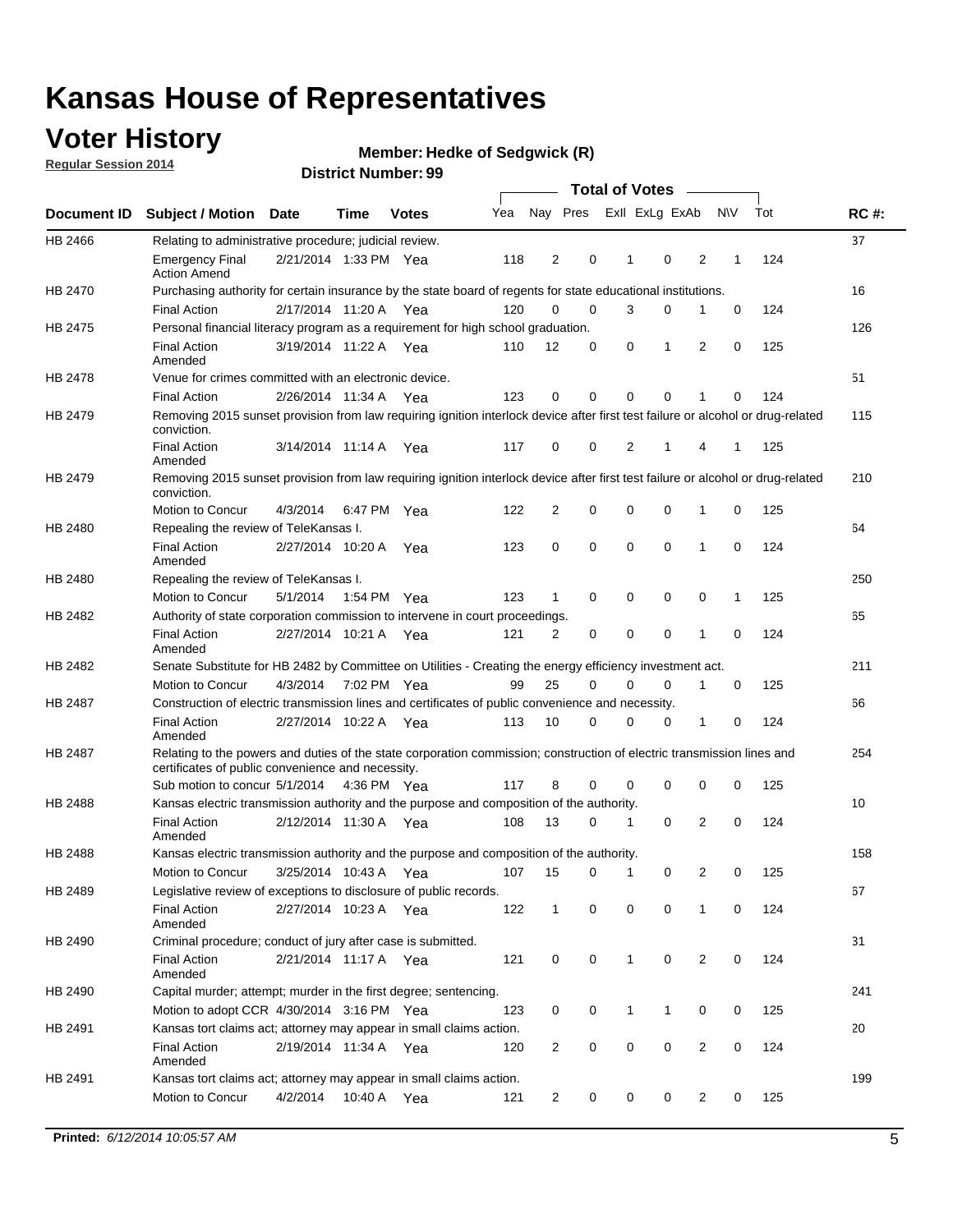## **Voter History**

**Regular Session 2014**

#### **Member: Hedke of Sedgwick (R)**

|                                                                                                                                                    |                                                                                                                                                                             |                       |             |              |     |                |             | <b>Total of Votes</b> |             |                |             |     |             |
|----------------------------------------------------------------------------------------------------------------------------------------------------|-----------------------------------------------------------------------------------------------------------------------------------------------------------------------------|-----------------------|-------------|--------------|-----|----------------|-------------|-----------------------|-------------|----------------|-------------|-----|-------------|
|                                                                                                                                                    | <b>Subject / Motion</b>                                                                                                                                                     | <b>Date</b>           | Time        | <b>Votes</b> | Yea |                | Nay Pres    | Exll ExLg ExAb        |             |                | <b>NV</b>   | Tot | <b>RC#:</b> |
| HB 2466                                                                                                                                            | Relating to administrative procedure; judicial review.                                                                                                                      |                       |             |              |     |                |             |                       |             |                |             |     | 37          |
|                                                                                                                                                    | <b>Emergency Final</b><br><b>Action Amend</b>                                                                                                                               | 2/21/2014 1:33 PM Yea |             |              | 118 | $\overline{2}$ | 0           | 1                     | $\mathbf 0$ | 2              | 1           | 124 |             |
|                                                                                                                                                    | Purchasing authority for certain insurance by the state board of regents for state educational institutions.                                                                |                       |             |              |     |                |             |                       |             |                |             |     | 16          |
|                                                                                                                                                    | <b>Final Action</b>                                                                                                                                                         | 2/17/2014 11:20 A Yea |             |              | 120 | $\mathbf 0$    | $\mathbf 0$ | 3                     | 0           | 1              | $\mathbf 0$ | 124 |             |
| HB 2475                                                                                                                                            | Personal financial literacy program as a requirement for high school graduation.                                                                                            |                       |             |              |     |                |             |                       |             |                |             |     | 126         |
|                                                                                                                                                    | <b>Final Action</b><br>Amended                                                                                                                                              | 3/19/2014 11:22 A Yea |             |              | 110 | 12             | 0           | 0                     | 1           | 2              | 0           | 125 |             |
| HB 2478                                                                                                                                            | Venue for crimes committed with an electronic device.                                                                                                                       |                       |             |              |     |                |             |                       |             |                |             |     | 51          |
|                                                                                                                                                    | <b>Final Action</b>                                                                                                                                                         | 2/26/2014 11:34 A     |             | Yea          | 123 | 0              | 0           | $\Omega$              | $\mathbf 0$ | 1              | 0           | 124 |             |
| HB 2479                                                                                                                                            | Removing 2015 sunset provision from law requiring ignition interlock device after first test failure or alcohol or drug-related<br>conviction.                              |                       |             |              |     |                |             |                       |             |                |             |     | 115         |
|                                                                                                                                                    | <b>Final Action</b><br>Amended                                                                                                                                              | 3/14/2014 11:14 A     |             | Yea          | 117 | 0              | 0           | $\overline{2}$        | 1           | 4              | 1           | 125 |             |
| HB 2479                                                                                                                                            | Removing 2015 sunset provision from law requiring ignition interlock device after first test failure or alcohol or drug-related<br>conviction.                              |                       |             |              |     |                |             |                       |             |                |             |     | 210         |
|                                                                                                                                                    | Motion to Concur                                                                                                                                                            | 4/3/2014              |             | 6:47 PM Yea  | 122 | $\overline{2}$ | $\mathbf 0$ | $\mathbf 0$           | $\mathbf 0$ | 1              | 0           | 125 |             |
| HB 2480                                                                                                                                            | Repealing the review of TeleKansas I.                                                                                                                                       |                       |             |              |     |                |             |                       |             |                |             |     | 64          |
|                                                                                                                                                    | <b>Final Action</b><br>Amended                                                                                                                                              | 2/27/2014 10:20 A Yea |             |              | 123 | 0              | $\mathbf 0$ | $\mathbf 0$           | $\mathbf 0$ | 1              | 0           | 124 |             |
| HB 2480                                                                                                                                            | Repealing the review of TeleKansas I.                                                                                                                                       |                       |             |              |     |                |             |                       |             |                |             |     | 250         |
|                                                                                                                                                    | Motion to Concur                                                                                                                                                            | 5/1/2014              | 1:54 PM Yea |              | 123 | 1              | 0           | 0                     | 0           | 0              | 1           | 125 |             |
| HB 2482                                                                                                                                            | Authority of state corporation commission to intervene in court proceedings.                                                                                                |                       |             |              |     |                |             |                       |             |                |             |     | 65          |
|                                                                                                                                                    | <b>Final Action</b><br>Amended                                                                                                                                              | 2/27/2014 10:21 A     |             | Yea          | 121 | $\overline{2}$ | 0           | $\mathbf 0$           | $\mathbf 0$ | 1              | 0           | 124 |             |
| <b>Document ID</b><br><b>HB 2470</b><br>HB 2482<br>HB 2487<br>HB 2487<br>HB 2488<br>HB 2488<br>HB 2489<br>HB 2490<br>HB 2490<br>HB 2491<br>HB 2491 | Senate Substitute for HB 2482 by Committee on Utilities - Creating the energy efficiency investment act.                                                                    |                       |             |              |     |                |             |                       |             |                |             |     | 211         |
|                                                                                                                                                    | Motion to Concur                                                                                                                                                            | 4/3/2014 7:02 PM Yea  |             |              | 99  | 25             | 0           | $\Omega$              | 0           | 1              | 0           | 125 |             |
|                                                                                                                                                    | Construction of electric transmission lines and certificates of public convenience and necessity.                                                                           |                       |             |              |     |                |             |                       |             |                |             |     | 66          |
|                                                                                                                                                    | <b>Final Action</b><br>Amended                                                                                                                                              | 2/27/2014 10:22 A     |             | Yea          | 113 | 10             | 0           | $\mathbf 0$           | 0           | 1              | 0           | 124 |             |
|                                                                                                                                                    | Relating to the powers and duties of the state corporation commission; construction of electric transmission lines and<br>certificates of public convenience and necessity. |                       |             |              |     |                |             |                       |             |                |             |     | 254         |
|                                                                                                                                                    | Sub motion to concur 5/1/2014 4:36 PM Yea                                                                                                                                   |                       |             |              | 117 | 8              | 0           | 0                     | $\mathbf 0$ | 0              | 0           | 125 |             |
|                                                                                                                                                    | Kansas electric transmission authority and the purpose and composition of the authority.                                                                                    |                       |             |              |     |                |             |                       |             |                |             |     | 10          |
|                                                                                                                                                    | <b>Final Action</b><br>Amended                                                                                                                                              | 2/12/2014 11:30 A     |             | Yea          | 108 | 13             | 0           | 1                     | 0           | 2              | 0           | 124 |             |
|                                                                                                                                                    | Kansas electric transmission authority and the purpose and composition of the authority.                                                                                    |                       |             |              |     |                |             |                       |             |                |             |     | 158         |
|                                                                                                                                                    | Motion to Concur                                                                                                                                                            | 3/25/2014 10:43 A     |             | Yea          | 107 | 15             | 0           | $\mathbf{1}$          | 0           | 2              | 0           | 125 |             |
|                                                                                                                                                    | Legislative review of exceptions to disclosure of public records.                                                                                                           |                       |             |              |     |                |             |                       |             |                |             |     | 67          |
|                                                                                                                                                    | <b>Final Action</b><br>Amended                                                                                                                                              | 2/27/2014 10:23 A Yea |             |              | 122 | $\mathbf{1}$   | 0           | 0                     | 0           | 1              | 0           | 124 |             |
|                                                                                                                                                    | Criminal procedure; conduct of jury after case is submitted.                                                                                                                |                       |             |              |     |                |             |                       |             |                |             |     | 31          |
|                                                                                                                                                    | <b>Final Action</b><br>Amended                                                                                                                                              | 2/21/2014 11:17 A Yea |             |              | 121 | 0              | 0           | $\mathbf{1}$          | 0           | 2              | 0           | 124 |             |
|                                                                                                                                                    | Capital murder; attempt; murder in the first degree; sentencing.                                                                                                            |                       |             |              |     |                |             |                       |             |                |             |     | 241         |
|                                                                                                                                                    | Motion to adopt CCR 4/30/2014 3:16 PM Yea                                                                                                                                   |                       |             |              | 123 | 0              | 0           | 1                     | 1           | 0              | 0           | 125 |             |
|                                                                                                                                                    | Kansas tort claims act; attorney may appear in small claims action.                                                                                                         |                       |             |              |     |                |             |                       |             |                |             |     | 20          |
|                                                                                                                                                    | <b>Final Action</b><br>Amended                                                                                                                                              | 2/19/2014 11:34 A Yea |             |              | 120 | $\overline{c}$ | 0           | 0                     | 0           | $\overline{2}$ | 0           | 124 |             |
|                                                                                                                                                    | Kansas tort claims act; attorney may appear in small claims action.                                                                                                         |                       |             |              |     |                |             |                       |             |                |             |     | 199         |
|                                                                                                                                                    | Motion to Concur                                                                                                                                                            | 4/2/2014              |             | 10:40 A Yea  | 121 | $\overline{c}$ | 0           | 0                     | 0           | $\overline{2}$ | 0           | 125 |             |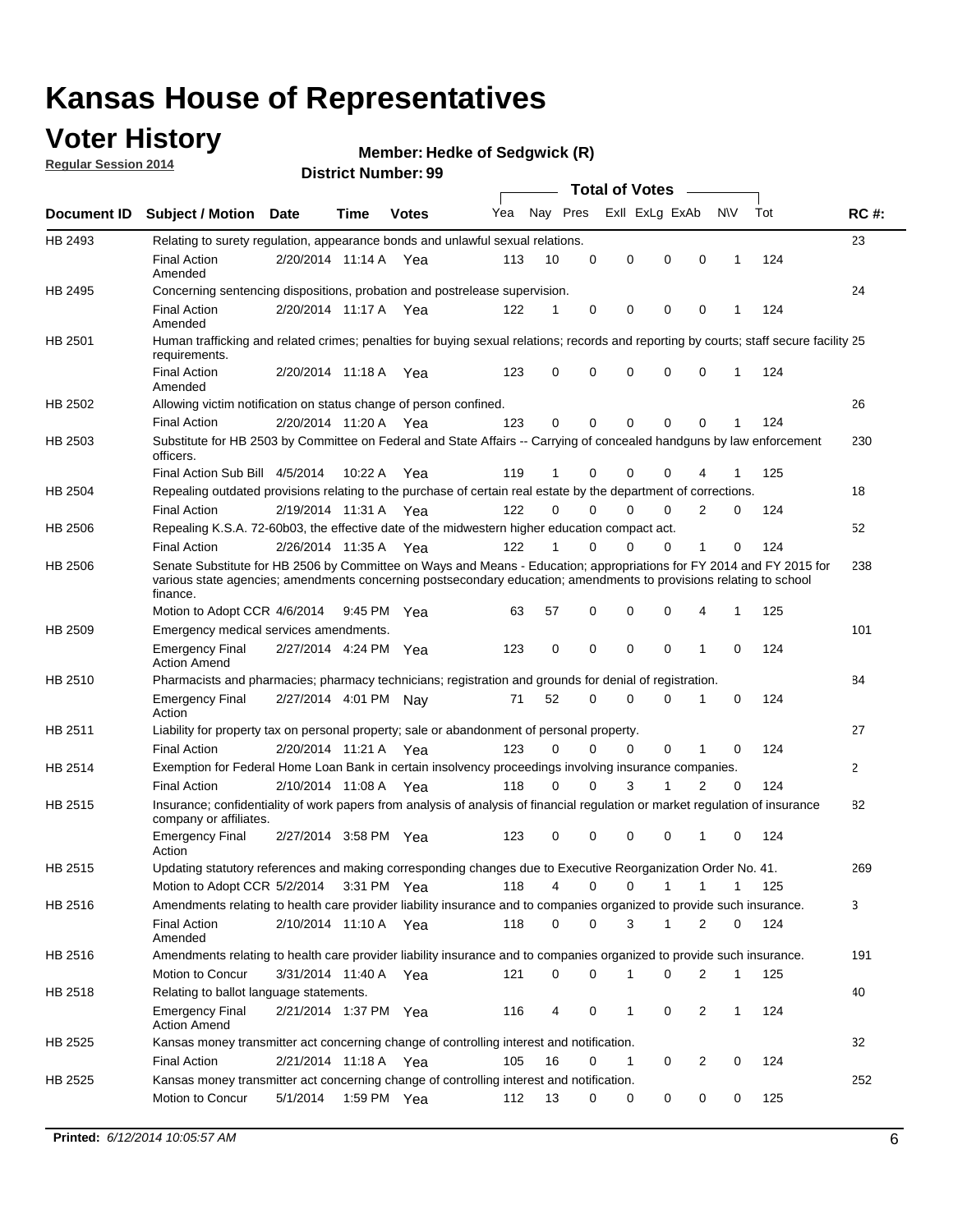## **Voter History**

**Regular Session 2014**

#### **Member: Hedke of Sedgwick (R)**

|                    |                                                                                                                                                                                                                                                        |                       |             |              |     |          |          | <b>Total of Votes</b> |              |                |              |     |              |
|--------------------|--------------------------------------------------------------------------------------------------------------------------------------------------------------------------------------------------------------------------------------------------------|-----------------------|-------------|--------------|-----|----------|----------|-----------------------|--------------|----------------|--------------|-----|--------------|
| <b>Document ID</b> | <b>Subject / Motion Date</b>                                                                                                                                                                                                                           |                       | Time        | <b>Votes</b> | Yea | Nay Pres |          | Exll ExLg ExAb        |              |                | N\V          | Tot | <b>RC#:</b>  |
| HB 2493            | Relating to surety regulation, appearance bonds and unlawful sexual relations.                                                                                                                                                                         |                       |             |              |     |          |          |                       |              |                |              |     | 23           |
|                    | <b>Final Action</b><br>Amended                                                                                                                                                                                                                         | 2/20/2014 11:14 A     |             | Yea          | 113 | 10       | 0        | 0                     | $\mathbf 0$  | 0              | $\mathbf 1$  | 124 |              |
| HB 2495            | Concerning sentencing dispositions, probation and postrelease supervision.                                                                                                                                                                             |                       |             |              |     |          |          |                       |              |                |              |     | 24           |
|                    | Final Action<br>Amended                                                                                                                                                                                                                                | 2/20/2014 11:17 A Yea |             |              | 122 | 1        | 0        | 0                     | 0            | $\mathbf 0$    | 1            | 124 |              |
| HB 2501            | Human trafficking and related crimes; penalties for buying sexual relations; records and reporting by courts; staff secure facility 25<br>requirements.                                                                                                |                       |             |              |     |          |          |                       |              |                |              |     |              |
|                    | <b>Final Action</b><br>Amended                                                                                                                                                                                                                         | 2/20/2014 11:18 A Yea |             |              | 123 | 0        | 0        | 0                     | 0            | $\mathbf 0$    | 1            | 124 |              |
| HB 2502            | Allowing victim notification on status change of person confined.                                                                                                                                                                                      |                       |             |              |     |          |          |                       |              |                |              |     | 26           |
|                    | <b>Final Action</b>                                                                                                                                                                                                                                    | 2/20/2014 11:20 A Yea |             |              | 123 | 0        | 0        | 0                     | $\Omega$     | $\Omega$       |              | 124 |              |
| HB 2503            | Substitute for HB 2503 by Committee on Federal and State Affairs -- Carrying of concealed handguns by law enforcement<br>officers.                                                                                                                     |                       |             |              |     |          |          |                       |              |                |              |     | 230          |
|                    | Final Action Sub Bill 4/5/2014                                                                                                                                                                                                                         |                       | 10:22 A     | Yea          | 119 |          | 0        | 0                     | 0            | 4              |              | 125 |              |
| HB 2504            | Repealing outdated provisions relating to the purchase of certain real estate by the department of corrections.                                                                                                                                        |                       |             |              |     |          |          |                       |              |                |              |     | 18           |
|                    | <b>Final Action</b>                                                                                                                                                                                                                                    | 2/19/2014 11:31 A Yea |             |              | 122 | 0        | 0        | 0                     | $\Omega$     | $\overline{2}$ | 0            | 124 |              |
| HB 2506            | Repealing K.S.A. 72-60b03, the effective date of the midwestern higher education compact act.                                                                                                                                                          |                       |             |              |     |          |          |                       |              |                |              |     | 52           |
|                    | <b>Final Action</b>                                                                                                                                                                                                                                    | 2/26/2014 11:35 A Yea |             |              | 122 |          | 0        | 0                     | 0            | 1              | 0            | 124 |              |
| HB 2506            | Senate Substitute for HB 2506 by Committee on Ways and Means - Education; appropriations for FY 2014 and FY 2015 for<br>various state agencies; amendments concerning postsecondary education; amendments to provisions relating to school<br>finance. |                       |             |              |     |          |          |                       |              |                |              |     | 238          |
|                    | Motion to Adopt CCR 4/6/2014                                                                                                                                                                                                                           |                       | 9:45 PM Yea |              | 63  | 57       | 0        | 0                     | 0            | 4              | 1            | 125 |              |
| HB 2509            | Emergency medical services amendments.                                                                                                                                                                                                                 |                       |             |              |     |          |          |                       |              |                |              |     | 101          |
|                    | <b>Emergency Final</b><br><b>Action Amend</b>                                                                                                                                                                                                          | 2/27/2014 4:24 PM Yea |             |              | 123 | 0        | 0        | 0                     | 0            | $\mathbf 1$    | 0            | 124 |              |
| HB 2510            | Pharmacists and pharmacies; pharmacy technicians; registration and grounds for denial of registration.                                                                                                                                                 |                       |             |              |     |          |          |                       |              |                |              |     | 84           |
|                    | <b>Emergency Final</b><br>Action                                                                                                                                                                                                                       | 2/27/2014 4:01 PM Nay |             |              | 71  | 52       | 0        | 0                     | 0            | 1              | 0            | 124 |              |
| HB 2511            | Liability for property tax on personal property; sale or abandonment of personal property.                                                                                                                                                             |                       |             |              |     |          |          |                       |              |                |              |     | 27           |
|                    | <b>Final Action</b>                                                                                                                                                                                                                                    | 2/20/2014 11:21 A     |             | Yea          | 123 | 0        | $\Omega$ | 0                     | 0            | 1              | 0            | 124 |              |
| HB 2514            | Exemption for Federal Home Loan Bank in certain insolvency proceedings involving insurance companies.                                                                                                                                                  |                       |             |              |     |          |          |                       |              |                |              |     | $\mathbf{2}$ |
|                    | <b>Final Action</b>                                                                                                                                                                                                                                    | 2/10/2014 11:08 A     |             | Yea          | 118 | 0        | 0        | 3                     | 1            | $\overline{2}$ | 0            | 124 |              |
| HB 2515            | Insurance; confidentiality of work papers from analysis of analysis of financial regulation or market regulation of insurance<br>company or affiliates.                                                                                                |                       |             |              |     |          |          |                       |              |                |              |     | 82           |
|                    | <b>Emergency Final</b><br>Action                                                                                                                                                                                                                       | 2/27/2014 3:58 PM Yea |             |              | 123 | 0        | 0        | 0                     | 0            | -1             | 0            | 124 |              |
| HB 2515            | Updating statutory references and making corresponding changes due to Executive Reorganization Order No. 41.                                                                                                                                           |                       |             |              |     |          |          |                       |              |                |              |     | 269          |
|                    | Motion to Adopt CCR 5/2/2014 3:31 PM Yea                                                                                                                                                                                                               |                       |             |              | 118 | 4        | 0        | 0                     | $\mathbf{1}$ | $\mathbf{1}$   | $\mathbf{1}$ | 125 |              |
| HB 2516            | Amendments relating to health care provider liability insurance and to companies organized to provide such insurance.                                                                                                                                  |                       |             |              |     |          |          |                       |              |                |              |     | 3            |
|                    | <b>Final Action</b><br>Amended                                                                                                                                                                                                                         | 2/10/2014 11:10 A Yea |             |              | 118 | 0        | 0        | 3                     | $\mathbf{1}$ | 2              | 0            | 124 |              |
| HB 2516            | Amendments relating to health care provider liability insurance and to companies organized to provide such insurance.                                                                                                                                  |                       |             |              |     |          |          |                       |              |                |              |     | 191          |
|                    | Motion to Concur                                                                                                                                                                                                                                       | 3/31/2014 11:40 A Yea |             |              | 121 | 0        | 0        | 1                     | 0            | 2              | $\mathbf{1}$ | 125 |              |
| HB 2518            | Relating to ballot language statements.                                                                                                                                                                                                                |                       |             |              |     |          |          |                       |              |                |              |     | 40           |
|                    | <b>Emergency Final</b><br><b>Action Amend</b>                                                                                                                                                                                                          | 2/21/2014 1:37 PM Yea |             |              | 116 | 4        | 0        | 1                     | 0            | 2              | $\mathbf{1}$ | 124 |              |
| HB 2525            | Kansas money transmitter act concerning change of controlling interest and notification.                                                                                                                                                               |                       |             |              |     |          |          |                       |              |                |              |     | 32           |
|                    | <b>Final Action</b>                                                                                                                                                                                                                                    | 2/21/2014 11:18 A Yea |             |              | 105 | 16       | 0        | 1                     | 0            | 2              | 0            | 124 |              |
| HB 2525            | Kansas money transmitter act concerning change of controlling interest and notification.                                                                                                                                                               |                       |             |              |     |          |          |                       |              |                |              |     | 252          |
|                    | Motion to Concur                                                                                                                                                                                                                                       | 5/1/2014              |             | 1:59 PM Yea  | 112 | 13       | 0        | 0                     | 0            | 0              | 0            | 125 |              |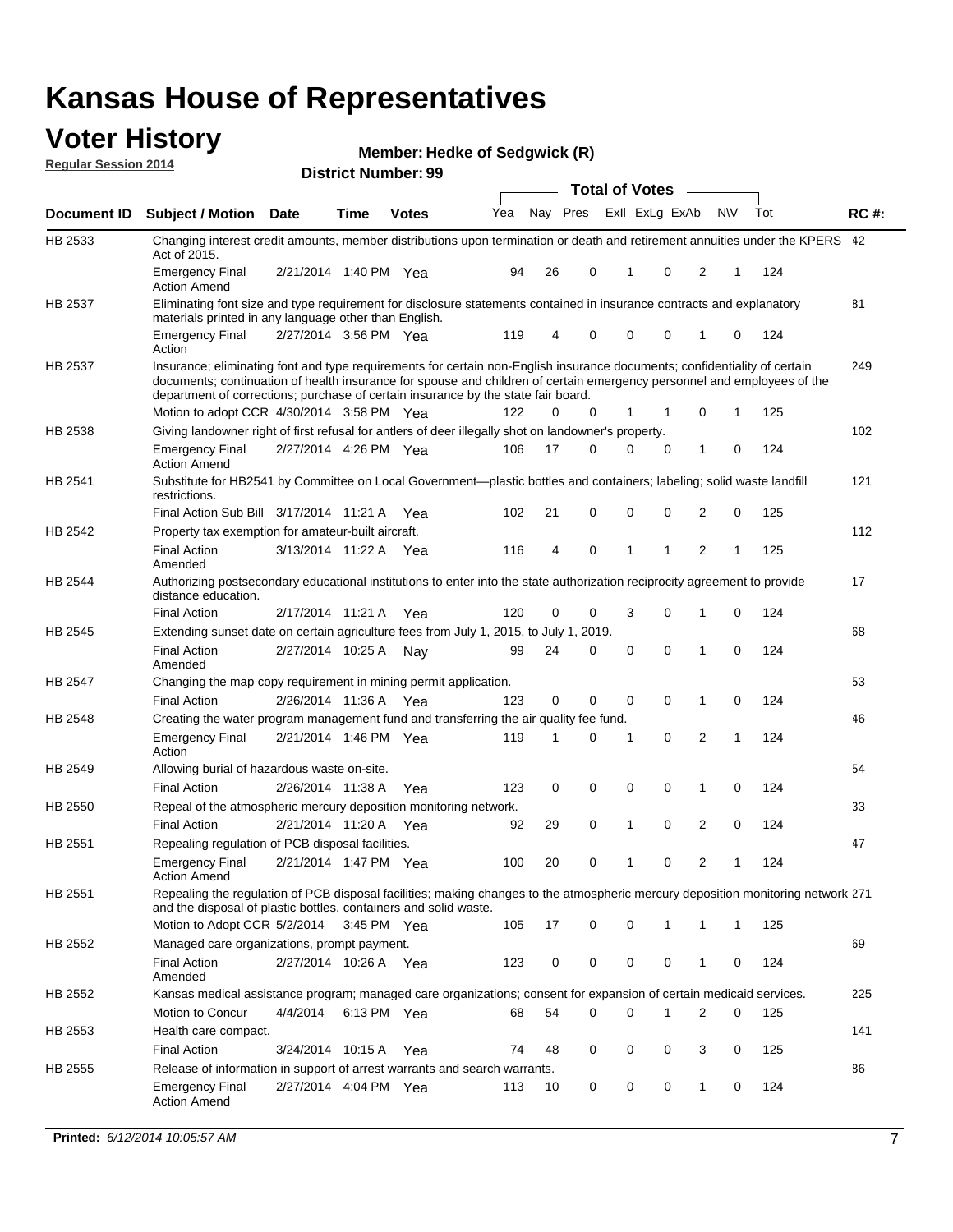#### **Voter History Regular Session 2014**

**Member: Hedke of Sedgwick (R)** 

|                |                                                                                                                                                                                                                                                                                                                                           |                       |             | <b>DISTRICT MAILINGL. 39</b> |     |             |          | <b>Total of Votes</b> |                |                |          |     |             |
|----------------|-------------------------------------------------------------------------------------------------------------------------------------------------------------------------------------------------------------------------------------------------------------------------------------------------------------------------------------------|-----------------------|-------------|------------------------------|-----|-------------|----------|-----------------------|----------------|----------------|----------|-----|-------------|
| Document ID    | <b>Subject / Motion</b>                                                                                                                                                                                                                                                                                                                   | Date                  | Time        | <b>Votes</b>                 | Yea |             | Nay Pres |                       | Exll ExLg ExAb | N\V            |          | Tot | <b>RC#:</b> |
| HB 2533        | Changing interest credit amounts, member distributions upon termination or death and retirement annuities under the KPERS 42<br>Act of 2015.                                                                                                                                                                                              |                       |             |                              |     |             |          |                       |                |                |          |     |             |
|                | <b>Emergency Final</b><br><b>Action Amend</b>                                                                                                                                                                                                                                                                                             | 2/21/2014 1:40 PM Yea |             |                              | 94  | 26          | 0        | 1                     | $\mathbf 0$    | 2              | 1        | 124 |             |
| HB 2537        | Eliminating font size and type requirement for disclosure statements contained in insurance contracts and explanatory<br>materials printed in any language other than English.                                                                                                                                                            |                       |             |                              |     |             |          |                       |                |                |          |     | 81          |
|                | <b>Emergency Final</b><br>Action                                                                                                                                                                                                                                                                                                          | 2/27/2014 3:56 PM Yea |             |                              | 119 | 4           | 0        | 0                     | 0              | 1              | 0        | 124 |             |
| HB 2537        | Insurance; eliminating font and type requirements for certain non-English insurance documents; confidentiality of certain<br>documents; continuation of health insurance for spouse and children of certain emergency personnel and employees of the<br>department of corrections; purchase of certain insurance by the state fair board. |                       |             |                              |     |             |          |                       |                |                |          |     | 249         |
|                | Motion to adopt CCR 4/30/2014 3:58 PM Yea                                                                                                                                                                                                                                                                                                 |                       |             |                              | 122 | 0           | 0        | 1                     | 1              | 0              | 1        | 125 |             |
| HB 2538        | Giving landowner right of first refusal for antlers of deer illegally shot on landowner's property.                                                                                                                                                                                                                                       |                       |             |                              |     |             |          |                       |                |                |          |     | 102         |
|                | <b>Emergency Final</b><br><b>Action Amend</b>                                                                                                                                                                                                                                                                                             | 2/27/2014 4:26 PM Yea |             |                              | 106 | 17          | 0        | 0                     | 0              | 1              | 0        | 124 |             |
| HB 2541        | Substitute for HB2541 by Committee on Local Government—plastic bottles and containers; labeling; solid waste landfill<br>restrictions.                                                                                                                                                                                                    |                       |             |                              |     |             |          |                       |                |                |          |     | 121         |
|                | Final Action Sub Bill 3/17/2014 11:21 A Yea                                                                                                                                                                                                                                                                                               |                       |             |                              | 102 | 21          | 0        | 0                     | $\mathbf 0$    | $\overline{2}$ | 0        | 125 |             |
| HB 2542        | Property tax exemption for amateur-built aircraft.                                                                                                                                                                                                                                                                                        |                       |             |                              |     |             |          |                       |                |                |          |     | 112         |
|                | <b>Final Action</b><br>Amended                                                                                                                                                                                                                                                                                                            | 3/13/2014 11:22 A Yea |             |                              | 116 | 4           | 0        | 1                     | 1              | $\overline{2}$ | 1        | 125 |             |
| HB 2544        | Authorizing postsecondary educational institutions to enter into the state authorization reciprocity agreement to provide<br>distance education.                                                                                                                                                                                          |                       |             |                              |     |             |          |                       |                |                |          |     | 17          |
|                | <b>Final Action</b>                                                                                                                                                                                                                                                                                                                       | 2/17/2014 11:21 A Yea |             |                              | 120 | 0           | 0        | 3                     | $\mathbf 0$    | 1              | 0        | 124 |             |
| HB 2545        | Extending sunset date on certain agriculture fees from July 1, 2015, to July 1, 2019.                                                                                                                                                                                                                                                     |                       |             |                              |     |             |          |                       |                |                |          |     | 68          |
|                | <b>Final Action</b><br>Amended                                                                                                                                                                                                                                                                                                            | 2/27/2014 10:25 A     |             | Nav                          | 99  | 24          | 0        | 0                     | $\Omega$       | 1              | 0        | 124 |             |
| <b>HB 2547</b> | Changing the map copy requirement in mining permit application.                                                                                                                                                                                                                                                                           |                       |             |                              |     |             |          |                       |                |                |          |     | 53          |
|                | <b>Final Action</b>                                                                                                                                                                                                                                                                                                                       | 2/26/2014 11:36 A     |             | Yea                          | 123 | $\mathbf 0$ | 0        | 0                     | 0              | $\mathbf{1}$   | 0        | 124 |             |
| HB 2548        | Creating the water program management fund and transferring the air quality fee fund.                                                                                                                                                                                                                                                     |                       |             |                              |     |             |          |                       |                |                |          |     | 46          |
|                | <b>Emergency Final</b><br>Action                                                                                                                                                                                                                                                                                                          | 2/21/2014 1:46 PM Yea |             |                              | 119 | 1           | 0        | 1                     | $\mathbf 0$    | $\overline{2}$ | 1        | 124 |             |
| HB 2549        | Allowing burial of hazardous waste on-site.                                                                                                                                                                                                                                                                                               |                       |             |                              |     |             |          |                       |                |                |          |     | 54          |
|                | <b>Final Action</b>                                                                                                                                                                                                                                                                                                                       | 2/26/2014 11:38 A     |             | Yea                          | 123 | 0           | 0        | 0                     | $\mathbf 0$    | 1              | 0        | 124 |             |
| HB 2550        | Repeal of the atmospheric mercury deposition monitoring network.                                                                                                                                                                                                                                                                          |                       |             |                              |     |             |          |                       |                |                |          |     | 33          |
|                | <b>Final Action</b>                                                                                                                                                                                                                                                                                                                       | 2/21/2014 11:20 A     |             | Yea                          | 92  | 29          | 0        | 1                     | $\mathbf 0$    | $\overline{2}$ | 0        | 124 |             |
| HB 2551        | Repealing regulation of PCB disposal facilities.                                                                                                                                                                                                                                                                                          |                       |             |                              |     |             |          |                       |                |                |          |     | 47          |
|                | <b>Emergency Final</b><br><b>Action Amend</b>                                                                                                                                                                                                                                                                                             | 2/21/2014 1:47 PM Yea |             |                              | 100 | 20          | 0        | 1                     | $\mathbf 0$    | 2              | 1        | 124 |             |
| HB 2551        | Repealing the regulation of PCB disposal facilities; making changes to the atmospheric mercury deposition monitoring network 271<br>and the disposal of plastic bottles, containers and solid waste.                                                                                                                                      |                       |             |                              |     |             |          |                       |                |                |          |     |             |
|                | Motion to Adopt CCR 5/2/2014 3:45 PM Yea                                                                                                                                                                                                                                                                                                  |                       |             |                              | 105 | 17          | 0        | 0                     | 1              | 1              | 1        | 125 |             |
| HB 2552        | Managed care organizations, prompt payment.                                                                                                                                                                                                                                                                                               |                       |             |                              |     |             |          |                       |                |                |          |     | 69          |
|                | <b>Final Action</b><br>Amended                                                                                                                                                                                                                                                                                                            | 2/27/2014 10:26 A Yea |             |                              | 123 | 0           | 0        | 0                     | 0              | 1              | 0        | 124 |             |
| HB 2552        | Kansas medical assistance program; managed care organizations; consent for expansion of certain medicaid services.                                                                                                                                                                                                                        |                       |             |                              |     |             |          |                       |                |                |          |     | 225         |
|                | Motion to Concur                                                                                                                                                                                                                                                                                                                          | 4/4/2014              | 6:13 PM Yea |                              | 68  | 54          | 0        | 0                     | 1              | $\overline{2}$ | $\Omega$ | 125 |             |
| HB 2553        | Health care compact.                                                                                                                                                                                                                                                                                                                      |                       |             |                              |     |             |          |                       |                |                |          |     | 141         |
|                | <b>Final Action</b>                                                                                                                                                                                                                                                                                                                       | 3/24/2014 10:15 A Yea |             |                              | 74  | 48          | 0        | 0                     | 0              | 3              | 0        | 125 |             |
| HB 2555        | Release of information in support of arrest warrants and search warrants.                                                                                                                                                                                                                                                                 |                       |             |                              |     |             |          |                       |                |                |          |     | 86          |
|                | <b>Emergency Final</b><br><b>Action Amend</b>                                                                                                                                                                                                                                                                                             | 2/27/2014 4:04 PM Yea |             |                              | 113 | 10          | 0        | 0                     | 0              | $\mathbf{1}$   | 0        | 124 |             |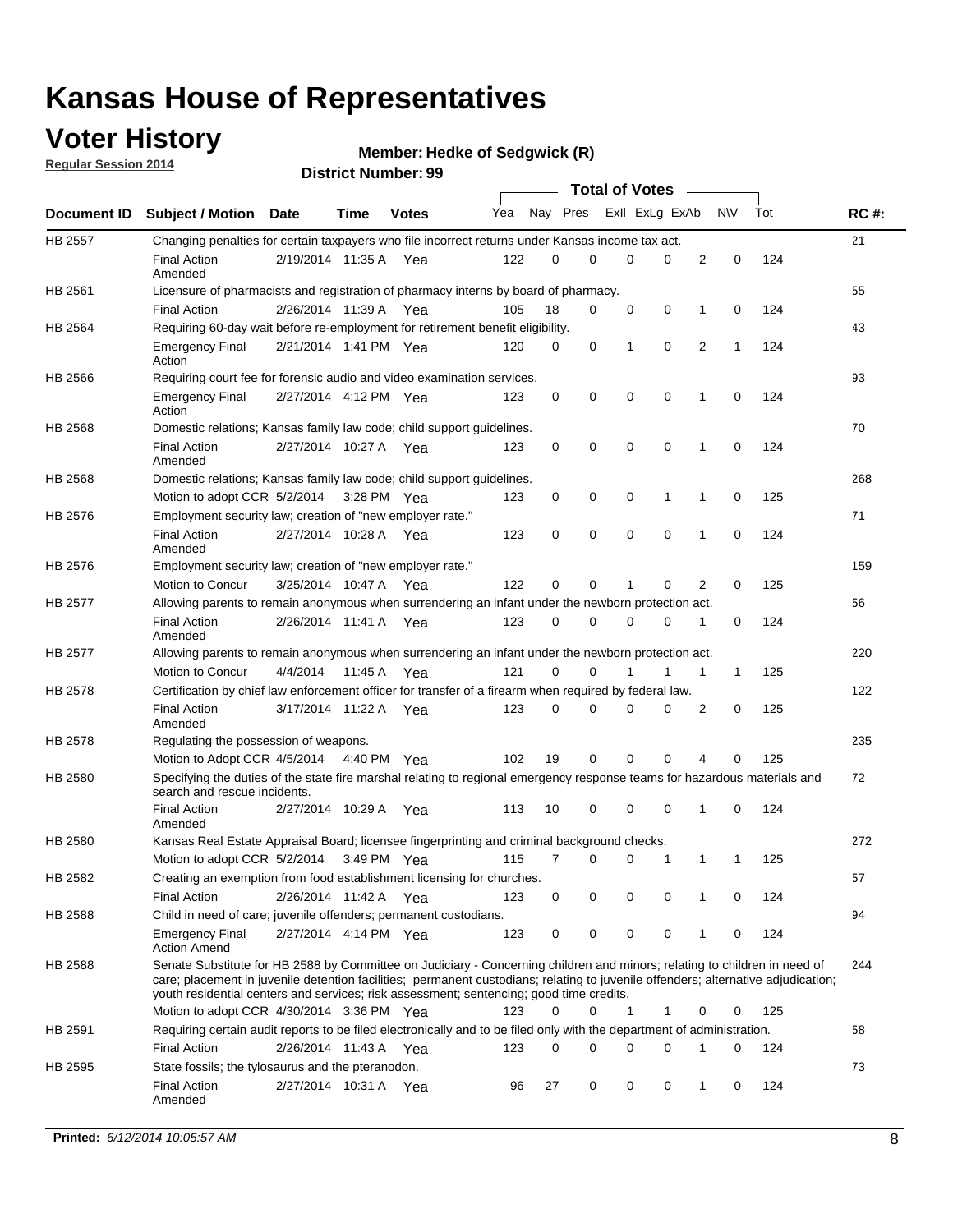## **Voter History**

**Regular Session 2014**

```
Member: Hedke of Sedgwick (R)
```

|                |                                                                                                                                                                                                                                                                                                                                                           |                       |             | <b>DISTRICT MAILINGL. 33</b> |     |          |          | <b>Total of Votes</b> |                |                   |     |             |
|----------------|-----------------------------------------------------------------------------------------------------------------------------------------------------------------------------------------------------------------------------------------------------------------------------------------------------------------------------------------------------------|-----------------------|-------------|------------------------------|-----|----------|----------|-----------------------|----------------|-------------------|-----|-------------|
|                | Document ID Subject / Motion Date                                                                                                                                                                                                                                                                                                                         |                       | <b>Time</b> | <b>Votes</b>                 | Yea |          | Nay Pres |                       | Exll ExLg ExAb | <b>NV</b>         | Tot | <b>RC#:</b> |
| <b>HB 2557</b> | Changing penalties for certain taxpayers who file incorrect returns under Kansas income tax act.                                                                                                                                                                                                                                                          |                       |             |                              |     |          |          |                       |                |                   |     | 21          |
|                | <b>Final Action</b><br>Amended                                                                                                                                                                                                                                                                                                                            | 2/19/2014 11:35 A Yea |             |                              | 122 | 0        | 0        | 0                     | $\Omega$       | 2<br>$\mathbf 0$  | 124 |             |
| HB 2561        | Licensure of pharmacists and registration of pharmacy interns by board of pharmacy.                                                                                                                                                                                                                                                                       |                       |             |                              |     |          |          |                       |                |                   |     | 55          |
|                | <b>Final Action</b>                                                                                                                                                                                                                                                                                                                                       | 2/26/2014 11:39 A     |             | Yea                          | 105 | 18       | 0        | 0                     | 0              | 0<br>1            | 124 |             |
| HB 2564        | Requiring 60-day wait before re-employment for retirement benefit eligibility.                                                                                                                                                                                                                                                                            |                       |             |                              |     |          |          |                       |                |                   |     | 43          |
|                | <b>Emergency Final</b><br>Action                                                                                                                                                                                                                                                                                                                          | 2/21/2014 1:41 PM Yea |             |                              | 120 | 0        | 0        | 1                     | 0              | 2<br>$\mathbf{1}$ | 124 |             |
| HB 2566        | Requiring court fee for forensic audio and video examination services.                                                                                                                                                                                                                                                                                    |                       |             |                              |     |          |          |                       |                |                   |     | 93          |
|                | <b>Emergency Final</b><br>Action                                                                                                                                                                                                                                                                                                                          | 2/27/2014 4:12 PM Yea |             |                              | 123 | 0        | 0        | 0                     | $\mathbf 0$    | 1<br>0            | 124 |             |
| HB 2568        | Domestic relations; Kansas family law code; child support guidelines.                                                                                                                                                                                                                                                                                     |                       |             |                              |     |          |          |                       |                |                   |     | 70          |
|                | <b>Final Action</b><br>Amended                                                                                                                                                                                                                                                                                                                            | 2/27/2014 10:27 A Yea |             |                              | 123 | 0        | 0        | 0                     | 0              | $\mathbf{1}$<br>0 | 124 |             |
| HB 2568        | Domestic relations; Kansas family law code; child support guidelines.                                                                                                                                                                                                                                                                                     |                       |             |                              |     |          |          |                       |                |                   |     | 268         |
|                | Motion to adopt CCR 5/2/2014                                                                                                                                                                                                                                                                                                                              |                       | 3:28 PM Yea |                              | 123 | 0        | 0        | 0                     | 1              | 0<br>1            | 125 |             |
| HB 2576        | Employment security law; creation of "new employer rate."                                                                                                                                                                                                                                                                                                 |                       |             |                              |     |          |          |                       |                |                   |     | 71          |
|                | <b>Final Action</b><br>Amended                                                                                                                                                                                                                                                                                                                            | 2/27/2014 10:28 A     |             | Yea                          | 123 | 0        | 0        | 0                     | $\mathbf 0$    | $\mathbf 0$<br>1  | 124 |             |
| HB 2576        | Employment security law; creation of "new employer rate."                                                                                                                                                                                                                                                                                                 |                       |             |                              |     |          |          |                       |                |                   |     | 159         |
|                | Motion to Concur                                                                                                                                                                                                                                                                                                                                          | 3/25/2014 10:47 A     |             | Yea                          | 122 | 0        | 0        | 1                     | 0              | 2<br>0            | 125 |             |
| <b>HB 2577</b> | Allowing parents to remain anonymous when surrendering an infant under the newborn protection act.                                                                                                                                                                                                                                                        |                       |             |                              |     |          |          |                       |                |                   |     | 56          |
|                | <b>Final Action</b><br>Amended                                                                                                                                                                                                                                                                                                                            | 2/26/2014 11:41 A Yea |             |                              | 123 | 0        | 0        | 0                     | 0              | 1<br>0            | 124 |             |
| HB 2577        | Allowing parents to remain anonymous when surrendering an infant under the newborn protection act.                                                                                                                                                                                                                                                        |                       |             |                              |     |          |          |                       |                |                   |     | 220         |
|                | <b>Motion to Concur</b>                                                                                                                                                                                                                                                                                                                                   | 4/4/2014              | 11:45 A     | Yea                          | 121 | $\Omega$ | 0        |                       | 1              | 1<br>$\mathbf{1}$ | 125 |             |
| HB 2578        | Certification by chief law enforcement officer for transfer of a firearm when required by federal law.                                                                                                                                                                                                                                                    |                       |             |                              |     |          |          |                       |                |                   |     | 122         |
|                | <b>Final Action</b><br>Amended                                                                                                                                                                                                                                                                                                                            | 3/17/2014 11:22 A Yea |             |                              | 123 | 0        | 0        | 0                     | $\Omega$       | 2<br>0            | 125 |             |
| HB 2578        | Regulating the possession of weapons.                                                                                                                                                                                                                                                                                                                     |                       |             |                              |     |          |          |                       |                |                   |     | 235         |
|                | Motion to Adopt CCR 4/5/2014 4:40 PM Yea                                                                                                                                                                                                                                                                                                                  |                       |             |                              | 102 | 19       | 0        | 0                     | $\mathbf 0$    | 4<br>0            | 125 |             |
| HB 2580        | Specifying the duties of the state fire marshal relating to regional emergency response teams for hazardous materials and<br>search and rescue incidents.                                                                                                                                                                                                 |                       |             |                              |     |          |          |                       |                |                   |     | 72          |
|                | <b>Final Action</b><br>Amended                                                                                                                                                                                                                                                                                                                            | 2/27/2014 10:29 A     |             | Yea                          | 113 | 10       | 0        | 0                     | 0              | 1<br>0            | 124 |             |
| HB 2580        | Kansas Real Estate Appraisal Board; licensee fingerprinting and criminal background checks.                                                                                                                                                                                                                                                               |                       |             |                              |     |          |          |                       |                |                   |     | 272         |
|                | Motion to adopt CCR 5/2/2014                                                                                                                                                                                                                                                                                                                              |                       | 3:49 PM Yea |                              | 115 | 7        | 0        | 0                     | 1              | 1<br>-1           | 125 |             |
| HB 2582        | Creating an exemption from food establishment licensing for churches.                                                                                                                                                                                                                                                                                     |                       |             |                              |     |          |          |                       |                |                   |     | 57          |
|                | <b>Final Action</b>                                                                                                                                                                                                                                                                                                                                       | 2/26/2014 11:42 A     |             | Yea                          | 123 | 0        | 0        | 0                     | 0              | 0<br>1            | 124 |             |
| HB 2588        | Child in need of care; juvenile offenders; permanent custodians.                                                                                                                                                                                                                                                                                          |                       |             |                              |     |          |          |                       |                |                   |     | 94          |
|                | <b>Emergency Final</b><br><b>Action Amend</b>                                                                                                                                                                                                                                                                                                             | 2/27/2014 4:14 PM Yea |             |                              | 123 | 0        | 0        | 0                     | 0              | 1<br>0            | 124 |             |
| HB 2588        | Senate Substitute for HB 2588 by Committee on Judiciary - Concerning children and minors; relating to children in need of<br>care; placement in juvenile detention facilities; permanent custodians; relating to juvenile offenders; alternative adjudication;<br>youth residential centers and services; risk assessment; sentencing; good time credits. |                       |             |                              | 123 | $\Omega$ | 0        | $\mathbf{1}$          | 1              | 0<br>0            | 125 | 244         |
|                | Motion to adopt CCR 4/30/2014 3:36 PM Yea                                                                                                                                                                                                                                                                                                                 |                       |             |                              |     |          |          |                       |                |                   |     |             |
| HB 2591        | Requiring certain audit reports to be filed electronically and to be filed only with the department of administration.<br><b>Final Action</b>                                                                                                                                                                                                             |                       |             |                              |     | 0        | 0        | 0                     | 0              | 1<br>0            | 124 | 58          |
|                | State fossils; the tylosaurus and the pteranodon.                                                                                                                                                                                                                                                                                                         | 2/26/2014 11:43 A Yea |             |                              | 123 |          |          |                       |                |                   |     | 73          |
| HB 2595        | <b>Final Action</b><br>Amended                                                                                                                                                                                                                                                                                                                            | 2/27/2014 10:31 A Yea |             |                              | 96  | 27       | 0        | 0                     | 0              | $\mathbf{1}$<br>0 | 124 |             |
|                |                                                                                                                                                                                                                                                                                                                                                           |                       |             |                              |     |          |          |                       |                |                   |     |             |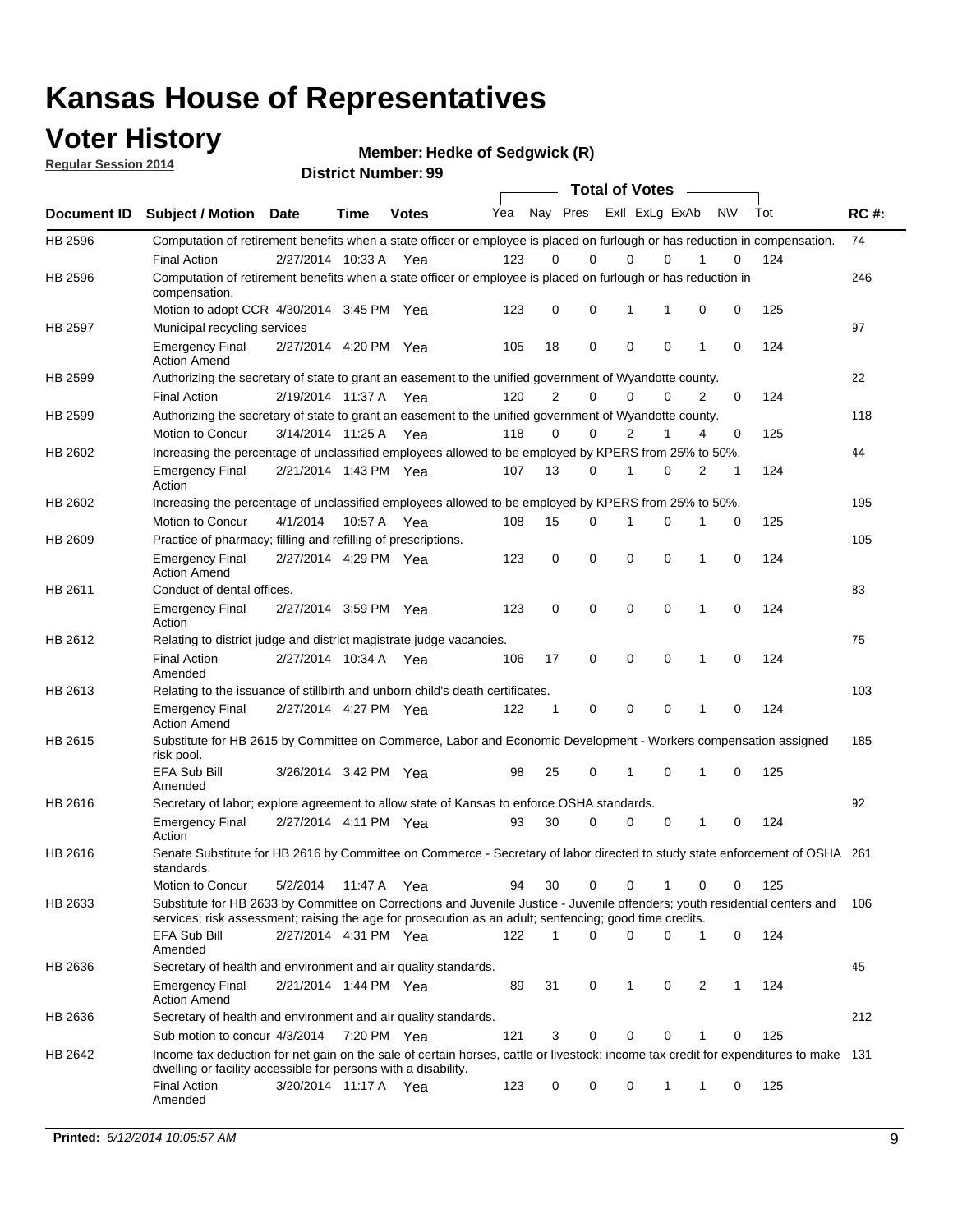### **Voter History**

**Regular Session 2014**

**Member: Hedke of Sedgwick (R)** 

|             |                                                                                                                                                                                                                                       |                       | DISUILU NUIIIN <del>C</del> I . 33 |              |     |                |             |             | <b>Total of Votes</b> |              |           |     |             |
|-------------|---------------------------------------------------------------------------------------------------------------------------------------------------------------------------------------------------------------------------------------|-----------------------|------------------------------------|--------------|-----|----------------|-------------|-------------|-----------------------|--------------|-----------|-----|-------------|
| Document ID | <b>Subject / Motion Date</b>                                                                                                                                                                                                          |                       | Time                               | <b>Votes</b> | Yea |                | Nay Pres    |             | Exll ExLg ExAb        |              | <b>NV</b> | Tot | <b>RC#:</b> |
| HB 2596     | Computation of retirement benefits when a state officer or employee is placed on furlough or has reduction in compensation.                                                                                                           |                       |                                    |              |     |                |             |             |                       |              |           |     | 74          |
|             | <b>Final Action</b>                                                                                                                                                                                                                   | 2/27/2014 10:33 A     |                                    | Yea          | 123 | 0              | $\Omega$    | 0           | $\Omega$              |              | 0         | 124 |             |
| HB 2596     | Computation of retirement benefits when a state officer or employee is placed on furlough or has reduction in<br>compensation.                                                                                                        |                       |                                    |              |     |                |             |             |                       |              |           |     | 246         |
|             | Motion to adopt CCR 4/30/2014 3:45 PM Yea                                                                                                                                                                                             |                       |                                    |              | 123 | 0              | 0           | 1           |                       | 0            | 0         | 125 |             |
| HB 2597     | Municipal recycling services                                                                                                                                                                                                          |                       |                                    |              |     |                |             |             |                       |              |           |     | 97          |
|             | <b>Emergency Final</b><br><b>Action Amend</b>                                                                                                                                                                                         | 2/27/2014 4:20 PM Yea |                                    |              | 105 | 18             | 0           | $\mathbf 0$ | $\mathbf 0$           | 1            | 0         | 124 |             |
| HB 2599     | Authorizing the secretary of state to grant an easement to the unified government of Wyandotte county.                                                                                                                                |                       |                                    |              |     |                |             |             |                       |              |           |     | 22          |
|             | <b>Final Action</b>                                                                                                                                                                                                                   | 2/19/2014 11:37 A Yea |                                    |              | 120 | $\overline{2}$ | 0           | $\Omega$    | 0                     | 2            | 0         | 124 |             |
| HB 2599     | Authorizing the secretary of state to grant an easement to the unified government of Wyandotte county.                                                                                                                                |                       |                                    |              |     |                |             |             |                       |              |           |     | 118         |
|             | Motion to Concur                                                                                                                                                                                                                      | 3/14/2014 11:25 A Yea |                                    |              | 118 | 0              | 0           |             | $\overline{2}$<br>1   | 4            | 0         | 125 |             |
| HB 2602     | Increasing the percentage of unclassified employees allowed to be employed by KPERS from 25% to 50%.                                                                                                                                  |                       |                                    |              |     |                |             |             |                       |              |           |     | 44          |
|             | <b>Emergency Final</b><br>Action                                                                                                                                                                                                      | 2/21/2014 1:43 PM Yea |                                    |              | 107 | 13             | 0           | 1           | 0                     | 2            | 1         | 124 |             |
| HB 2602     | Increasing the percentage of unclassified employees allowed to be employed by KPERS from 25% to 50%.                                                                                                                                  |                       |                                    |              |     |                |             |             |                       |              |           |     | 195         |
|             | Motion to Concur                                                                                                                                                                                                                      | 4/1/2014              | 10:57 A                            | Yea          | 108 | 15             | 0           | 1           | 0                     | 1            | 0         | 125 |             |
| HB 2609     | Practice of pharmacy; filling and refilling of prescriptions.                                                                                                                                                                         |                       |                                    |              |     |                |             |             |                       |              |           |     | 105         |
|             | <b>Emergency Final</b><br><b>Action Amend</b>                                                                                                                                                                                         | 2/27/2014 4:29 PM Yea |                                    |              | 123 | 0              | $\mathbf 0$ | $\mathbf 0$ | 0                     | $\mathbf{1}$ | 0         | 124 |             |
| HB 2611     | Conduct of dental offices.                                                                                                                                                                                                            |                       |                                    |              |     |                |             |             |                       |              |           |     | 83          |
|             | <b>Emergency Final</b><br>Action                                                                                                                                                                                                      | 2/27/2014 3:59 PM Yea |                                    |              | 123 | 0              | $\mathbf 0$ | $\mathbf 0$ | 0                     | $\mathbf{1}$ | 0         | 124 |             |
| HB 2612     | Relating to district judge and district magistrate judge vacancies.                                                                                                                                                                   |                       |                                    |              |     |                |             |             |                       |              |           |     | 75          |
|             | <b>Final Action</b><br>Amended                                                                                                                                                                                                        | 2/27/2014 10:34 A     |                                    | Yea          | 106 | 17             | $\mathbf 0$ | $\mathbf 0$ | 0                     | 1            | $\Omega$  | 124 |             |
| HB 2613     | Relating to the issuance of stillbirth and unborn child's death certificates.                                                                                                                                                         |                       |                                    |              |     |                |             |             |                       |              |           |     | 103         |
|             | <b>Emergency Final</b><br><b>Action Amend</b>                                                                                                                                                                                         | 2/27/2014 4:27 PM Yea |                                    |              | 122 | $\mathbf 1$    | 0           | 0           | 0                     | 1            | 0         | 124 |             |
| HB 2615     | Substitute for HB 2615 by Committee on Commerce, Labor and Economic Development - Workers compensation assigned<br>risk pool.                                                                                                         |                       |                                    |              |     |                |             |             |                       |              |           |     | 185         |
|             | <b>EFA Sub Bill</b><br>Amended                                                                                                                                                                                                        | 3/26/2014 3:42 PM Yea |                                    |              | 98  | 25             | 0           | 1           | 0                     | 1            | 0         | 125 |             |
| HB 2616     | Secretary of labor; explore agreement to allow state of Kansas to enforce OSHA standards.                                                                                                                                             |                       |                                    |              |     |                |             |             |                       |              |           |     | 92          |
|             | <b>Emergency Final</b><br>Action                                                                                                                                                                                                      | 2/27/2014 4:11 PM Yea |                                    |              | 93  | 30             | 0           | 0           | 0                     | 1            | 0         | 124 |             |
| HB 2616     | Senate Substitute for HB 2616 by Committee on Commerce - Secretary of labor directed to study state enforcement of OSHA 261<br>standards.                                                                                             |                       |                                    |              |     |                |             |             |                       |              |           |     |             |
|             | Motion to Concur                                                                                                                                                                                                                      | 5/2/2014              | 11:47 A Yea                        |              | 94  | 30             | 0           | $\mathbf 0$ | 1                     | 0            | 0         | 125 |             |
| HB 2633     | Substitute for HB 2633 by Committee on Corrections and Juvenile Justice - Juvenile offenders; youth residential centers and<br>services; risk assessment; raising the age for prosecution as an adult; sentencing; good time credits. |                       |                                    |              |     |                |             |             |                       |              |           |     | 106         |
|             | <b>EFA Sub Bill</b><br>Amended                                                                                                                                                                                                        | 2/27/2014 4:31 PM Yea |                                    |              | 122 | 1              | 0           | $\mathbf 0$ | 0                     | 1            | 0         | 124 |             |
| HB 2636     | Secretary of health and environment and air quality standards.                                                                                                                                                                        |                       |                                    |              |     |                |             |             |                       |              |           |     | 45          |
|             | <b>Emergency Final</b><br><b>Action Amend</b>                                                                                                                                                                                         | 2/21/2014 1:44 PM Yea |                                    |              | 89  | 31             | 0           | 1           | 0                     | 2            | 1         | 124 |             |
| HB 2636     | Secretary of health and environment and air quality standards.                                                                                                                                                                        |                       |                                    |              |     |                |             |             |                       |              |           |     | 212         |
|             | Sub motion to concur 4/3/2014                                                                                                                                                                                                         |                       | 7:20 PM Yea                        |              | 121 | 3              | 0           | 0           | 0                     | 1            | 0         | 125 |             |
| HB 2642     | Income tax deduction for net gain on the sale of certain horses, cattle or livestock; income tax credit for expenditures to make 131<br>dwelling or facility accessible for persons with a disability.                                |                       |                                    |              |     |                |             |             |                       |              |           |     |             |
|             | <b>Final Action</b><br>Amended                                                                                                                                                                                                        | 3/20/2014 11:17 A Yea |                                    |              | 123 | 0              | 0           | 0           | 1                     | 1            | 0         | 125 |             |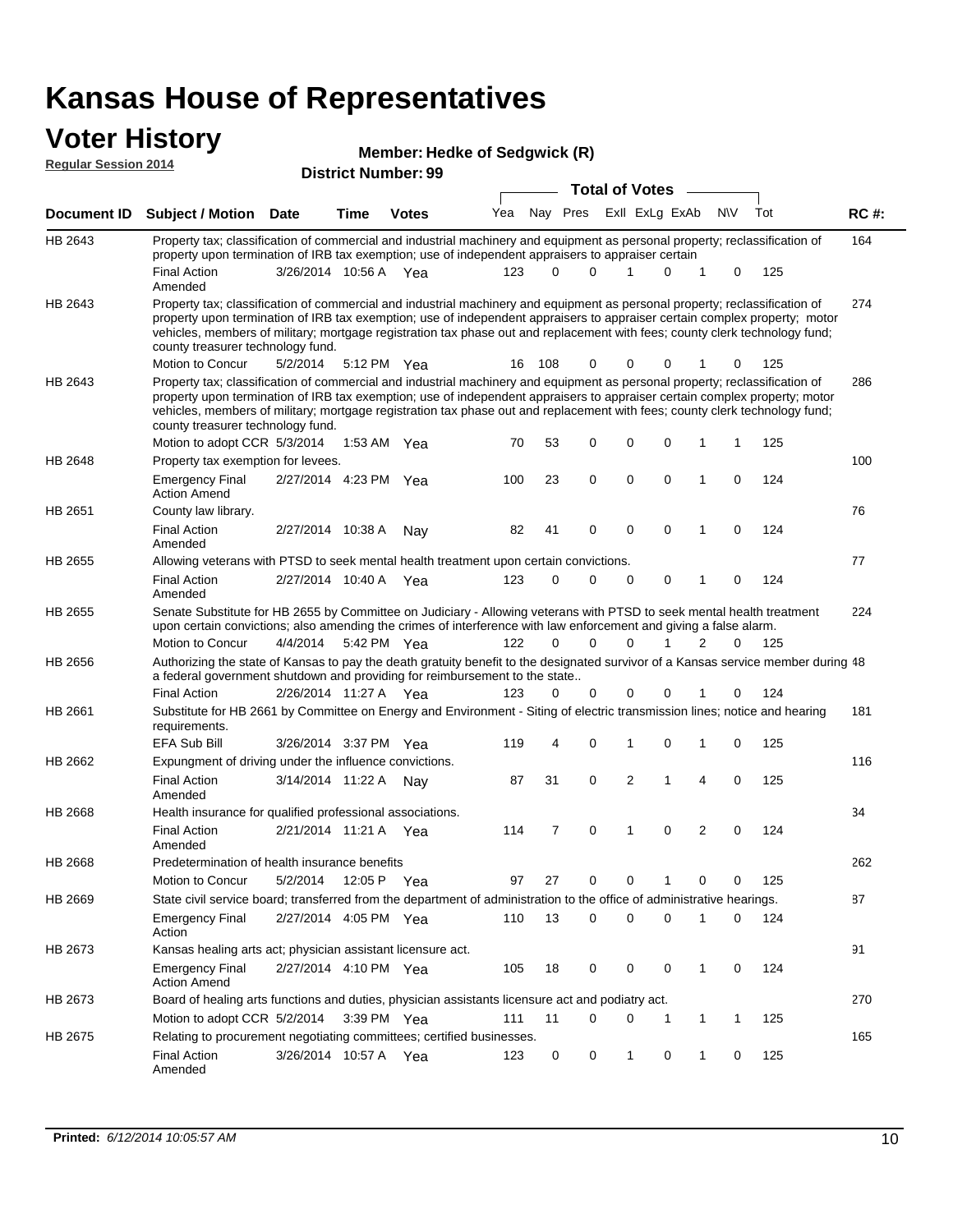#### **Voter History Regular Session 2014**

|  | Member: Hedke of Sedgwick (R) |
|--|-------------------------------|
|  |                               |

| <b>District Number: 99</b> |                                                                                                                                                                                                                                                                                                                                                                                                                                                               |                       |      |               |     |          |             | <b>Total of Votes</b> |                |                |             |     |             |  |
|----------------------------|---------------------------------------------------------------------------------------------------------------------------------------------------------------------------------------------------------------------------------------------------------------------------------------------------------------------------------------------------------------------------------------------------------------------------------------------------------------|-----------------------|------|---------------|-----|----------|-------------|-----------------------|----------------|----------------|-------------|-----|-------------|--|
|                            |                                                                                                                                                                                                                                                                                                                                                                                                                                                               |                       |      |               |     |          |             |                       |                |                |             |     |             |  |
| Document ID                | <b>Subject / Motion Date</b>                                                                                                                                                                                                                                                                                                                                                                                                                                  |                       | Time | <b>Votes</b>  | Yea |          | Nay Pres    |                       | Exll ExLg ExAb |                | <b>NV</b>   | Tot | <b>RC#:</b> |  |
| HB 2643                    | Property tax; classification of commercial and industrial machinery and equipment as personal property; reclassification of<br>property upon termination of IRB tax exemption; use of independent appraisers to appraiser certain                                                                                                                                                                                                                             |                       |      |               |     |          |             |                       |                |                |             |     | 164         |  |
|                            | <b>Final Action</b><br>Amended                                                                                                                                                                                                                                                                                                                                                                                                                                | 3/26/2014 10:56 A Yea |      |               | 123 | $\Omega$ | $\Omega$    |                       | $\Omega$       | 1              | 0           | 125 |             |  |
| HB 2643                    | Property tax; classification of commercial and industrial machinery and equipment as personal property; reclassification of<br>property upon termination of IRB tax exemption; use of independent appraisers to appraiser certain complex property; motor<br>vehicles, members of military; mortgage registration tax phase out and replacement with fees; county clerk technology fund;<br>county treasurer technology fund.                                 |                       |      |               |     |          |             |                       |                |                |             |     | 274         |  |
|                            | Motion to Concur                                                                                                                                                                                                                                                                                                                                                                                                                                              | 5/2/2014              |      | 5:12 PM Yea   | 16  | 108      | 0           | 0                     | 0              |                | 0           | 125 |             |  |
| HB 2643                    | Property tax; classification of commercial and industrial machinery and equipment as personal property; reclassification of<br>property upon termination of IRB tax exemption; use of independent appraisers to appraiser certain complex property; motor<br>vehicles, members of military; mortgage registration tax phase out and replacement with fees; county clerk technology fund;<br>county treasurer technology fund.<br>Motion to adopt CCR 5/3/2014 |                       |      | 1:53 AM $Yea$ | 70  | 53       | 0           | 0                     | 0              | 1              | 1           | 125 | 286         |  |
| HB 2648                    | Property tax exemption for levees.                                                                                                                                                                                                                                                                                                                                                                                                                            |                       |      |               |     |          |             |                       |                |                |             |     | 100         |  |
|                            | <b>Emergency Final</b><br><b>Action Amend</b>                                                                                                                                                                                                                                                                                                                                                                                                                 | 2/27/2014 4:23 PM Yea |      |               | 100 | 23       | 0           | 0                     | 0              | 1              | $\Omega$    | 124 |             |  |
| HB 2651                    | County law library.                                                                                                                                                                                                                                                                                                                                                                                                                                           |                       |      |               |     |          |             |                       |                |                |             |     | 76          |  |
|                            | <b>Final Action</b><br>Amended                                                                                                                                                                                                                                                                                                                                                                                                                                | 2/27/2014 10:38 A     |      | Nay           | 82  | 41       | 0           | $\mathbf 0$           | $\mathbf 0$    | $\mathbf{1}$   | $\Omega$    | 124 |             |  |
| HB 2655                    | Allowing veterans with PTSD to seek mental health treatment upon certain convictions.                                                                                                                                                                                                                                                                                                                                                                         |                       |      |               |     |          |             |                       |                |                |             |     | 77          |  |
|                            | <b>Final Action</b><br>Amended                                                                                                                                                                                                                                                                                                                                                                                                                                | 2/27/2014 10:40 A     |      | Yea           | 123 | 0        | 0           | 0                     | 0              | 1              | 0           | 124 |             |  |
| HB 2655                    | Senate Substitute for HB 2655 by Committee on Judiciary - Allowing veterans with PTSD to seek mental health treatment<br>upon certain convictions; also amending the crimes of interference with law enforcement and giving a false alarm.                                                                                                                                                                                                                    |                       |      |               |     |          |             |                       |                |                |             |     | 224         |  |
|                            | Motion to Concur                                                                                                                                                                                                                                                                                                                                                                                                                                              | 4/4/2014              |      | 5:42 PM Yea   | 122 | $\Omega$ | $\Omega$    | $\Omega$              | 1              | 2              | $\Omega$    | 125 |             |  |
| HB 2656                    | Authorizing the state of Kansas to pay the death gratuity benefit to the designated survivor of a Kansas service member during 48<br>a federal government shutdown and providing for reimbursement to the state                                                                                                                                                                                                                                               |                       |      |               |     |          |             |                       |                |                |             |     |             |  |
|                            | <b>Final Action</b>                                                                                                                                                                                                                                                                                                                                                                                                                                           | 2/26/2014 11:27 A     |      | Yea           | 123 | 0        | 0           | 0                     | 0              |                | 0           | 124 |             |  |
| HB 2661                    | Substitute for HB 2661 by Committee on Energy and Environment - Siting of electric transmission lines; notice and hearing<br>requirements.                                                                                                                                                                                                                                                                                                                    |                       |      |               |     |          |             |                       |                |                |             |     | 181         |  |
|                            | EFA Sub Bill                                                                                                                                                                                                                                                                                                                                                                                                                                                  | 3/26/2014 3:37 PM Yea |      |               | 119 | 4        | 0           | 1                     | 0              | 1              | $\mathbf 0$ | 125 |             |  |
| HB 2662                    | Expungment of driving under the influence convictions.<br><b>Final Action</b><br>Amended                                                                                                                                                                                                                                                                                                                                                                      | 3/14/2014 11:22 A     |      | Nav           | 87  | 31       | 0           | 2                     | 1              | 4              | $\mathbf 0$ | 125 | 116         |  |
| HB 2668                    | Health insurance for qualified professional associations.                                                                                                                                                                                                                                                                                                                                                                                                     |                       |      |               |     |          |             |                       |                |                |             |     | 34          |  |
|                            | <b>Final Action</b><br>Amended                                                                                                                                                                                                                                                                                                                                                                                                                                | 2/21/2014 11:21 A Yea |      |               | 114 | 7        | $\mathbf 0$ | 1                     | 0              | $\overline{2}$ | $\Omega$    | 124 |             |  |
| HB 2668                    | Predetermination of health insurance benefits                                                                                                                                                                                                                                                                                                                                                                                                                 |                       |      |               |     |          |             |                       |                |                |             |     | 262         |  |
|                            | <b>Motion to Concur</b>                                                                                                                                                                                                                                                                                                                                                                                                                                       | 5/2/2014              |      | 12:05 P Yea   | 97  | 27       | 0           | 0                     |                | 0              | 0           | 125 |             |  |
| HB 2669                    | State civil service board; transferred from the department of administration to the office of administrative hearings.                                                                                                                                                                                                                                                                                                                                        |                       |      |               |     |          |             |                       |                |                |             |     | 87          |  |
|                            | <b>Emergency Final</b><br>Action                                                                                                                                                                                                                                                                                                                                                                                                                              | 2/27/2014 4:05 PM Yea |      |               | 110 | 13       | 0           | 0                     | 0              | 1              | 0           | 124 |             |  |
| HB 2673                    | Kansas healing arts act; physician assistant licensure act.                                                                                                                                                                                                                                                                                                                                                                                                   |                       |      |               |     |          |             |                       |                |                |             |     | 91          |  |
|                            | <b>Emergency Final</b><br><b>Action Amend</b>                                                                                                                                                                                                                                                                                                                                                                                                                 | 2/27/2014 4:10 PM Yea |      |               | 105 | 18       | 0           | 0                     | 0              | 1              | 0           | 124 |             |  |
| HB 2673                    | Board of healing arts functions and duties, physician assistants licensure act and podiatry act.                                                                                                                                                                                                                                                                                                                                                              |                       |      |               |     |          |             |                       |                |                |             |     | 270         |  |
|                            | Motion to adopt CCR 5/2/2014                                                                                                                                                                                                                                                                                                                                                                                                                                  |                       |      | 3:39 PM Yea   | 111 | 11       | 0           | 0                     | 1              | 1              | 1           | 125 |             |  |
| HB 2675                    | Relating to procurement negotiating committees; certified businesses.                                                                                                                                                                                                                                                                                                                                                                                         |                       |      |               |     |          |             |                       |                |                |             |     | 165         |  |
|                            | <b>Final Action</b><br>Amended                                                                                                                                                                                                                                                                                                                                                                                                                                | 3/26/2014 10:57 A Yea |      |               | 123 | 0        | 0           | 1                     | 0              | 1              | 0           | 125 |             |  |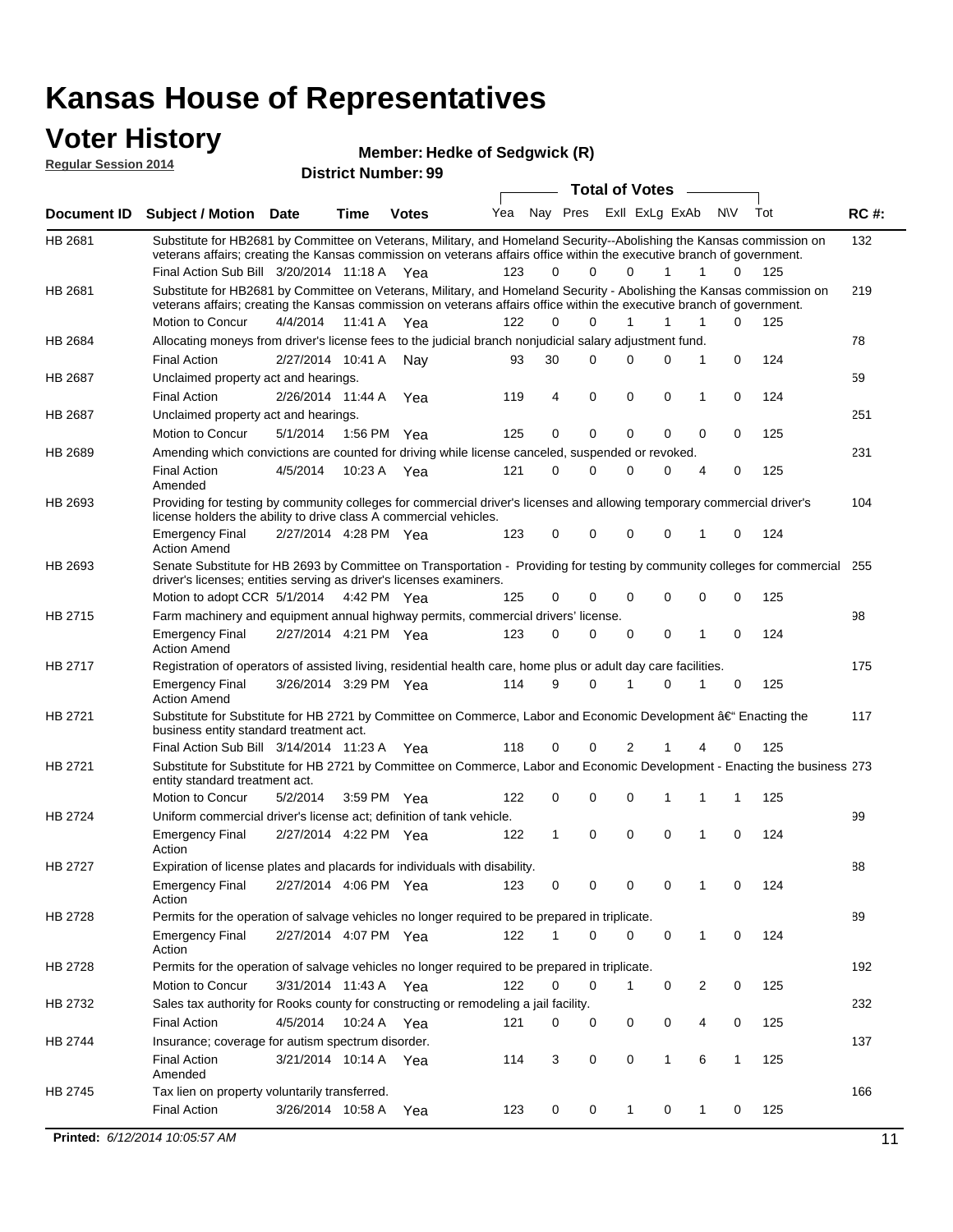### **Voter History**

**District Number: 99 Regular Session 2014**

| Member: Hedke of Sedgwick (R) |  |
|-------------------------------|--|
|                               |  |

|                |                                                                                                                                                                                                                                                 |                       |      |              |     |              | <b>Total of Votes</b> |                |   | $\overline{\phantom{a}}$ |           |     |             |
|----------------|-------------------------------------------------------------------------------------------------------------------------------------------------------------------------------------------------------------------------------------------------|-----------------------|------|--------------|-----|--------------|-----------------------|----------------|---|--------------------------|-----------|-----|-------------|
| Document ID    | <b>Subject / Motion Date</b>                                                                                                                                                                                                                    |                       | Time | <b>Votes</b> | Yea | Nay Pres     |                       | Exll ExLg ExAb |   |                          | <b>NV</b> | Tot | <b>RC#:</b> |
| HB 2681        | Substitute for HB2681 by Committee on Veterans, Military, and Homeland Security--Abolishing the Kansas commission on<br>veterans affairs; creating the Kansas commission on veterans affairs office within the executive branch of government.  |                       |      |              |     |              |                       |                |   |                          |           |     | 132         |
|                | Final Action Sub Bill 3/20/2014 11:18 A Yea                                                                                                                                                                                                     |                       |      |              | 123 | 0            | $\Omega$              | $\Omega$       | 1 | 1                        | 0         | 125 |             |
| HB 2681        | Substitute for HB2681 by Committee on Veterans, Military, and Homeland Security - Abolishing the Kansas commission on<br>veterans affairs; creating the Kansas commission on veterans affairs office within the executive branch of government. |                       |      |              |     |              |                       |                |   |                          |           |     | 219         |
|                | Motion to Concur                                                                                                                                                                                                                                | 4/4/2014              |      | 11:41 A Yea  | 122 | 0            | 0                     | 1              | 1 | 1                        | 0         | 125 |             |
| HB 2684        | Allocating moneys from driver's license fees to the judicial branch nonjudicial salary adjustment fund.                                                                                                                                         |                       |      |              |     |              |                       |                |   |                          |           |     | 78          |
|                | <b>Final Action</b>                                                                                                                                                                                                                             | 2/27/2014 10:41 A     |      | Nav          | 93  | 30           | 0                     | 0              | 0 | 1                        | 0         | 124 |             |
| <b>HB 2687</b> | Unclaimed property act and hearings.                                                                                                                                                                                                            |                       |      |              |     |              |                       |                |   |                          |           |     | 59          |
|                | <b>Final Action</b>                                                                                                                                                                                                                             | 2/26/2014 11:44 A     |      | Yea          | 119 | 4            | 0                     | 0              | 0 | 1                        | 0         | 124 |             |
| HB 2687        | Unclaimed property act and hearings.                                                                                                                                                                                                            |                       |      |              |     |              |                       |                |   |                          |           |     | 251         |
|                | Motion to Concur                                                                                                                                                                                                                                | 5/1/2014              |      | 1:56 PM Yea  | 125 | 0            | 0                     | 0              | 0 | $\Omega$                 | 0         | 125 |             |
| HB 2689        | Amending which convictions are counted for driving while license canceled, suspended or revoked.                                                                                                                                                |                       |      |              |     |              |                       |                |   |                          |           |     | 231         |
|                | <b>Final Action</b><br>Amended                                                                                                                                                                                                                  | 4/5/2014              |      | 10:23 A Yea  | 121 | 0            | 0                     | 0              | 0 | 4                        | 0         | 125 |             |
| HB 2693        | Providing for testing by community colleges for commercial driver's licenses and allowing temporary commercial driver's<br>license holders the ability to drive class A commercial vehicles.                                                    |                       |      |              |     |              |                       |                |   |                          |           |     | 104         |
|                | <b>Emergency Final</b><br><b>Action Amend</b>                                                                                                                                                                                                   | 2/27/2014 4:28 PM Yea |      |              | 123 | 0            | 0                     | 0              | 0 | 1                        | 0         | 124 |             |
| HB 2693        | Senate Substitute for HB 2693 by Committee on Transportation - Providing for testing by community colleges for commercial 255                                                                                                                   |                       |      |              |     |              |                       |                |   |                          |           |     |             |
|                | driver's licenses; entities serving as driver's licenses examiners.<br>Motion to adopt CCR 5/1/2014 4:42 PM Yea                                                                                                                                 |                       |      |              | 125 | 0            | 0                     | 0              | 0 | 0                        | 0         | 125 |             |
| HB 2715        | Farm machinery and equipment annual highway permits, commercial drivers' license.                                                                                                                                                               |                       |      |              |     |              |                       |                |   |                          |           |     | 98          |
|                | <b>Emergency Final</b><br><b>Action Amend</b>                                                                                                                                                                                                   | 2/27/2014 4:21 PM Yea |      |              | 123 | 0            | 0                     | 0              | 0 | 1                        | 0         | 124 |             |
| HB 2717        | Registration of operators of assisted living, residential health care, home plus or adult day care facilities.                                                                                                                                  |                       |      |              |     |              |                       |                |   |                          |           |     | 175         |
|                | <b>Emergency Final</b><br><b>Action Amend</b>                                                                                                                                                                                                   | 3/26/2014 3:29 PM Yea |      |              | 114 | 9            | $\Omega$              |                | 0 | 1                        | 0         | 125 |             |
| HB 2721        | Substitute for Substitute for HB 2721 by Committee on Commerce, Labor and Economic Development †Enacting the<br>business entity standard treatment act.                                                                                         |                       |      |              |     |              |                       |                |   |                          |           |     | 117         |
|                | Final Action Sub Bill 3/14/2014 11:23 A Yea                                                                                                                                                                                                     |                       |      |              | 118 | 0            | 0                     | 2              | 1 | 4                        | 0         | 125 |             |
| HB 2721        | Substitute for Substitute for HB 2721 by Committee on Commerce, Labor and Economic Development - Enacting the business 273<br>entity standard treatment act.                                                                                    |                       |      |              |     |              |                       |                |   |                          |           |     |             |
|                | Motion to Concur                                                                                                                                                                                                                                | 5/2/2014              |      | 3:59 PM Yea  | 122 | 0            | 0                     | 0              | 1 | 1                        | 1         | 125 |             |
| HB 2724        | Uniform commercial driver's license act: definition of tank vehicle.                                                                                                                                                                            |                       |      |              |     |              |                       |                |   |                          |           |     | 99          |
|                | <b>Emergency Final</b><br>Action                                                                                                                                                                                                                | 2/27/2014 4:22 PM Yea |      |              | 122 | $\mathbf{1}$ | $\mathbf 0$           | 0              | 0 | 1                        | 0         | 124 |             |
| <b>HB 2727</b> | Expiration of license plates and placards for individuals with disability.                                                                                                                                                                      |                       |      |              |     |              |                       |                |   |                          |           |     | 88          |
|                | <b>Emergency Final</b><br>Action                                                                                                                                                                                                                | 2/27/2014 4:06 PM Yea |      |              | 123 | 0            | 0                     | 0              | 0 | 1                        | 0         | 124 |             |
| HB 2728        | Permits for the operation of salvage vehicles no longer required to be prepared in triplicate.                                                                                                                                                  |                       |      |              |     |              |                       |                |   |                          |           |     | 89          |
|                | <b>Emergency Final</b><br>Action                                                                                                                                                                                                                | 2/27/2014 4:07 PM Yea |      |              | 122 | 1            | 0                     | 0              | 0 | 1                        | 0         | 124 |             |
| HB 2728        | Permits for the operation of salvage vehicles no longer required to be prepared in triplicate.                                                                                                                                                  |                       |      |              |     |              |                       |                |   |                          |           |     | 192         |
|                | Motion to Concur                                                                                                                                                                                                                                | 3/31/2014 11:43 A Yea |      |              | 122 | 0            | 0                     |                | 0 | 2                        | 0         | 125 |             |
| HB 2732        | Sales tax authority for Rooks county for constructing or remodeling a jail facility.                                                                                                                                                            |                       |      |              |     |              |                       |                |   |                          |           |     | 232         |
|                | <b>Final Action</b>                                                                                                                                                                                                                             | 4/5/2014              |      | 10:24 A Yea  | 121 | 0            | 0                     | 0              | 0 | 4                        | 0         | 125 |             |
| HB 2744        | Insurance; coverage for autism spectrum disorder.                                                                                                                                                                                               |                       |      |              |     |              |                       |                |   |                          |           |     | 137         |
|                | <b>Final Action</b>                                                                                                                                                                                                                             | 3/21/2014 10:14 A Yea |      |              | 114 | 3            | 0                     | 0              | 1 | 6                        | 1         | 125 |             |
|                | Amended                                                                                                                                                                                                                                         |                       |      |              |     |              |                       |                |   |                          |           |     |             |
| HB 2745        | Tax lien on property voluntarily transferred.                                                                                                                                                                                                   |                       |      |              |     |              |                       |                |   |                          |           |     | 166         |
|                | <b>Final Action</b>                                                                                                                                                                                                                             | 3/26/2014 10:58 A     |      | Yea          | 123 | 0            | 0                     | 1              | 0 | 1                        | 0         | 125 |             |
|                | Printed: 6/12/2014 10:05:57 AM                                                                                                                                                                                                                  |                       |      |              |     |              |                       |                |   |                          |           |     | 11          |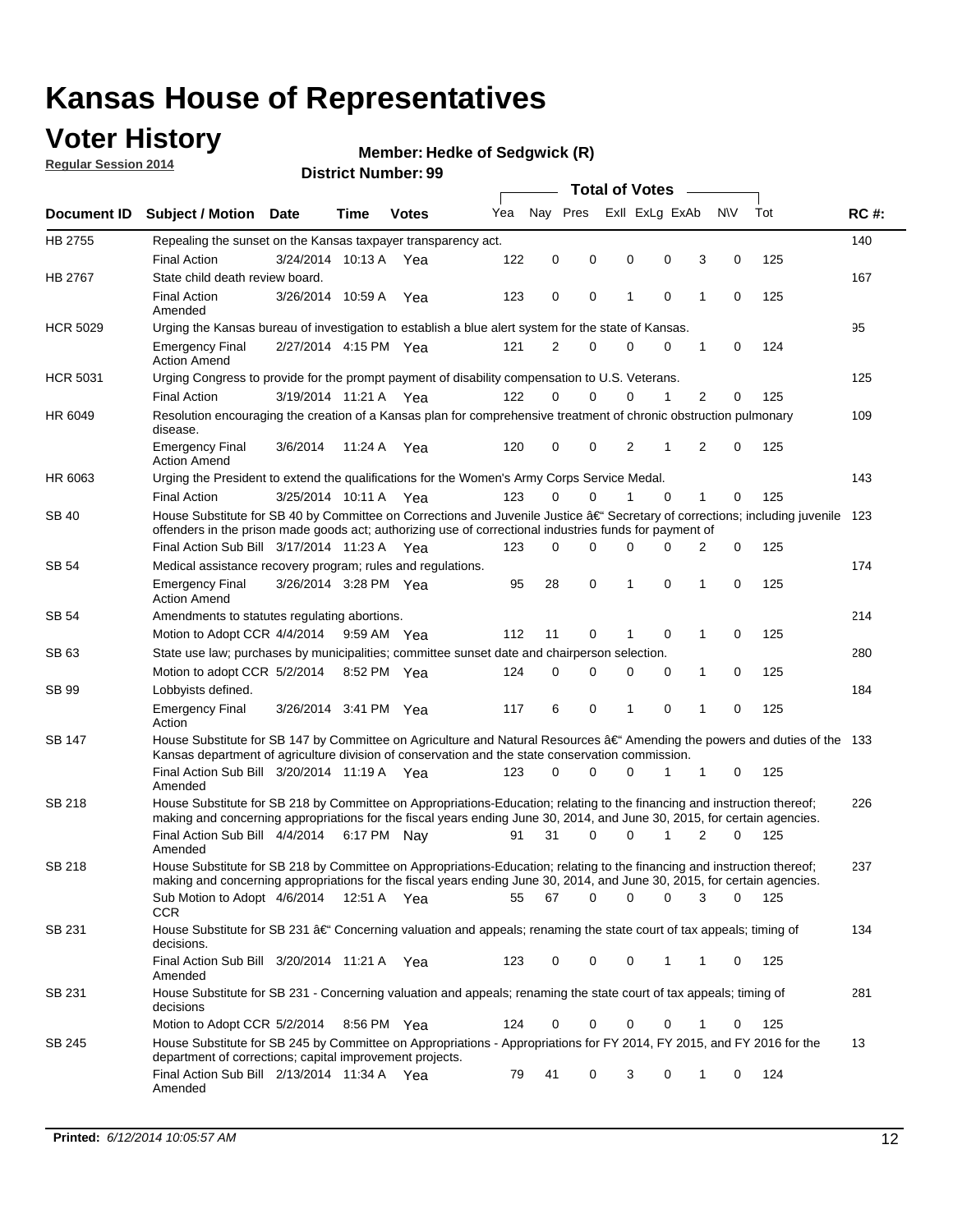## **Voter History**

**Regular Session 2014**

#### **Member: Hedke of Sedgwick (R)**

|                 |                                                                                                                                                                                                                                                      |                       |             |              |     |             |          | <b>Total of Votes</b> |             |   |             |     |             |
|-----------------|------------------------------------------------------------------------------------------------------------------------------------------------------------------------------------------------------------------------------------------------------|-----------------------|-------------|--------------|-----|-------------|----------|-----------------------|-------------|---|-------------|-----|-------------|
| Document ID     | <b>Subject / Motion Date</b>                                                                                                                                                                                                                         |                       | Time        | <b>Votes</b> | Yea | Nay Pres    |          | Exll ExLg ExAb        |             |   | <b>NV</b>   | Tot | <b>RC#:</b> |
| HB 2755         | Repealing the sunset on the Kansas taxpayer transparency act.                                                                                                                                                                                        |                       |             |              |     |             |          |                       |             |   |             |     | 140         |
|                 | <b>Final Action</b>                                                                                                                                                                                                                                  | 3/24/2014 10:13 A     |             | Yea          | 122 | 0           | 0        | 0                     | 0           | 3 | $\mathbf 0$ | 125 |             |
| HB 2767         | State child death review board.                                                                                                                                                                                                                      |                       |             |              |     |             |          |                       |             |   |             |     | 167         |
|                 | <b>Final Action</b><br>Amended                                                                                                                                                                                                                       | 3/26/2014 10:59 A     |             | Yea          | 123 | 0           | 0        | 1                     | 0           | 1 | 0           | 125 |             |
| <b>HCR 5029</b> | Urging the Kansas bureau of investigation to establish a blue alert system for the state of Kansas.                                                                                                                                                  |                       |             |              |     |             |          |                       |             |   |             |     | 95          |
|                 | <b>Emergency Final</b><br><b>Action Amend</b>                                                                                                                                                                                                        | 2/27/2014 4:15 PM Yea |             |              | 121 | 2           | 0        | 0                     | 0           | 1 | 0           | 124 |             |
| <b>HCR 5031</b> | Urging Congress to provide for the prompt payment of disability compensation to U.S. Veterans.                                                                                                                                                       |                       |             |              |     |             |          |                       |             |   |             |     | 125         |
|                 | <b>Final Action</b>                                                                                                                                                                                                                                  | 3/19/2014 11:21 A Yea |             |              | 122 | $\Omega$    | $\Omega$ | 0                     | 1           | 2 | 0           | 125 |             |
| HR 6049         | Resolution encouraging the creation of a Kansas plan for comprehensive treatment of chronic obstruction pulmonary<br>disease.                                                                                                                        |                       |             |              |     |             |          |                       |             |   |             |     | 109         |
|                 | <b>Emergency Final</b><br><b>Action Amend</b>                                                                                                                                                                                                        | 3/6/2014              | 11:24 A     | Yea          | 120 | $\mathbf 0$ | 0        | 2                     | 1           | 2 | $\mathbf 0$ | 125 |             |
| HR 6063         | Urging the President to extend the qualifications for the Women's Army Corps Service Medal.                                                                                                                                                          |                       |             |              |     |             |          |                       |             |   |             |     | 143         |
|                 | <b>Final Action</b>                                                                                                                                                                                                                                  | 3/25/2014 10:11 A Yea |             |              | 123 | 0           | $\Omega$ | 1                     | $\Omega$    | 1 | 0           | 125 |             |
| <b>SB 40</b>    | House Substitute for SB 40 by Committee on Corrections and Juvenile Justice $\hat{a}\in$ Secretary of corrections; including juvenile 123<br>offenders in the prison made goods act; authorizing use of correctional industries funds for payment of |                       |             |              |     |             |          |                       |             |   |             |     |             |
|                 | Final Action Sub Bill 3/17/2014 11:23 A Yea                                                                                                                                                                                                          |                       |             |              | 123 | 0           | 0        | 0                     | 0           | 2 | 0           | 125 |             |
| SB 54           | Medical assistance recovery program; rules and regulations.                                                                                                                                                                                          |                       |             |              |     |             |          |                       |             |   |             |     | 174         |
|                 | <b>Emergency Final</b><br><b>Action Amend</b>                                                                                                                                                                                                        | 3/26/2014 3:28 PM Yea |             |              | 95  | 28          | 0        | 1                     | 0           | 1 | $\mathbf 0$ | 125 |             |
| SB 54           | Amendments to statutes regulating abortions.                                                                                                                                                                                                         |                       |             |              |     |             |          |                       |             |   |             |     | 214         |
|                 | Motion to Adopt CCR 4/4/2014                                                                                                                                                                                                                         |                       | 9:59 AM Yea |              | 112 | 11          | 0        |                       | $\mathbf 0$ | 1 | $\mathbf 0$ | 125 |             |
| SB 63           | State use law; purchases by municipalities; committee sunset date and chairperson selection.                                                                                                                                                         |                       |             |              |     |             |          |                       |             |   |             |     | 280         |
|                 | Motion to adopt CCR 5/2/2014                                                                                                                                                                                                                         |                       | 8:52 PM Yea |              | 124 | $\mathbf 0$ | 0        | 0                     | 0           | 1 | $\mathbf 0$ | 125 |             |
| SB 99           | Lobbyists defined.                                                                                                                                                                                                                                   |                       |             |              |     |             |          |                       |             |   |             |     | 184         |
|                 | <b>Emergency Final</b><br>Action                                                                                                                                                                                                                     | 3/26/2014 3:41 PM Yea |             |              | 117 | 6           | 0        | 1                     | 0           | 1 | $\mathbf 0$ | 125 |             |
| SB 147          | House Substitute for SB 147 by Committee on Agriculture and Natural Resources †Amending the powers and duties of the 133<br>Kansas department of agriculture division of conservation and the state conservation commission.                         |                       |             |              |     |             |          |                       |             |   |             |     |             |
|                 | Final Action Sub Bill 3/20/2014 11:19 A Yea<br>Amended                                                                                                                                                                                               |                       |             |              | 123 | $\Omega$    | $\Omega$ | 0                     | 1           | 1 | 0           | 125 |             |
| <b>SB 218</b>   | House Substitute for SB 218 by Committee on Appropriations-Education; relating to the financing and instruction thereof;                                                                                                                             |                       |             |              |     |             |          |                       |             |   |             |     | 226         |
|                 | making and concerning appropriations for the fiscal years ending June 30, 2014, and June 30, 2015, for certain agencies.<br>Final Action Sub Bill 4/4/2014 6:17 PM Nay                                                                               |                       |             |              | 91  | 31          | $\Omega$ | $\Omega$              | 1           | 2 | $\Omega$    | 125 |             |
|                 | Amended                                                                                                                                                                                                                                              |                       |             |              |     |             |          |                       |             |   |             |     |             |
| <b>SB 218</b>   | House Substitute for SB 218 by Committee on Appropriations-Education; relating to the financing and instruction thereof;                                                                                                                             |                       |             |              |     |             |          |                       |             |   |             |     | 237         |
|                 | making and concerning appropriations for the fiscal years ending June 30, 2014, and June 30, 2015, for certain agencies.                                                                                                                             |                       |             |              |     |             |          |                       |             |   |             |     |             |
|                 | Sub Motion to Adopt 4/6/2014 12:51 A Yea                                                                                                                                                                                                             |                       |             |              | 55  | 67          | 0        | 0                     | 0           | 3 | 0           | 125 |             |
| SB 231          | <b>CCR</b><br>House Substitute for SB 231 †Concerning valuation and appeals; renaming the state court of tax appeals; timing of<br>decisions.                                                                                                        |                       |             |              |     |             |          |                       |             |   |             |     | 134         |
|                 | Final Action Sub Bill 3/20/2014 11:21 A Yea                                                                                                                                                                                                          |                       |             |              | 123 | 0           | 0        | 0                     | 1           | 1 | 0           | 125 |             |
|                 | Amended                                                                                                                                                                                                                                              |                       |             |              |     |             |          |                       |             |   |             |     |             |
| SB 231          | House Substitute for SB 231 - Concerning valuation and appeals; renaming the state court of tax appeals; timing of<br>decisions                                                                                                                      |                       |             |              |     |             |          |                       |             |   |             |     | 281         |
|                 | Motion to Adopt CCR 5/2/2014 8:56 PM Yea                                                                                                                                                                                                             |                       |             |              | 124 | 0           | 0        | 0                     | 0           | 1 | 0           | 125 |             |
| SB 245          | House Substitute for SB 245 by Committee on Appropriations - Appropriations for FY 2014, FY 2015, and FY 2016 for the<br>department of corrections; capital improvement projects.                                                                    |                       |             |              |     |             |          |                       |             |   |             |     | 13          |
|                 | Final Action Sub Bill 2/13/2014 11:34 A Yea<br>Amended                                                                                                                                                                                               |                       |             |              | 79  | 41          | 0        | 3                     | 0           | 1 | 0           | 124 |             |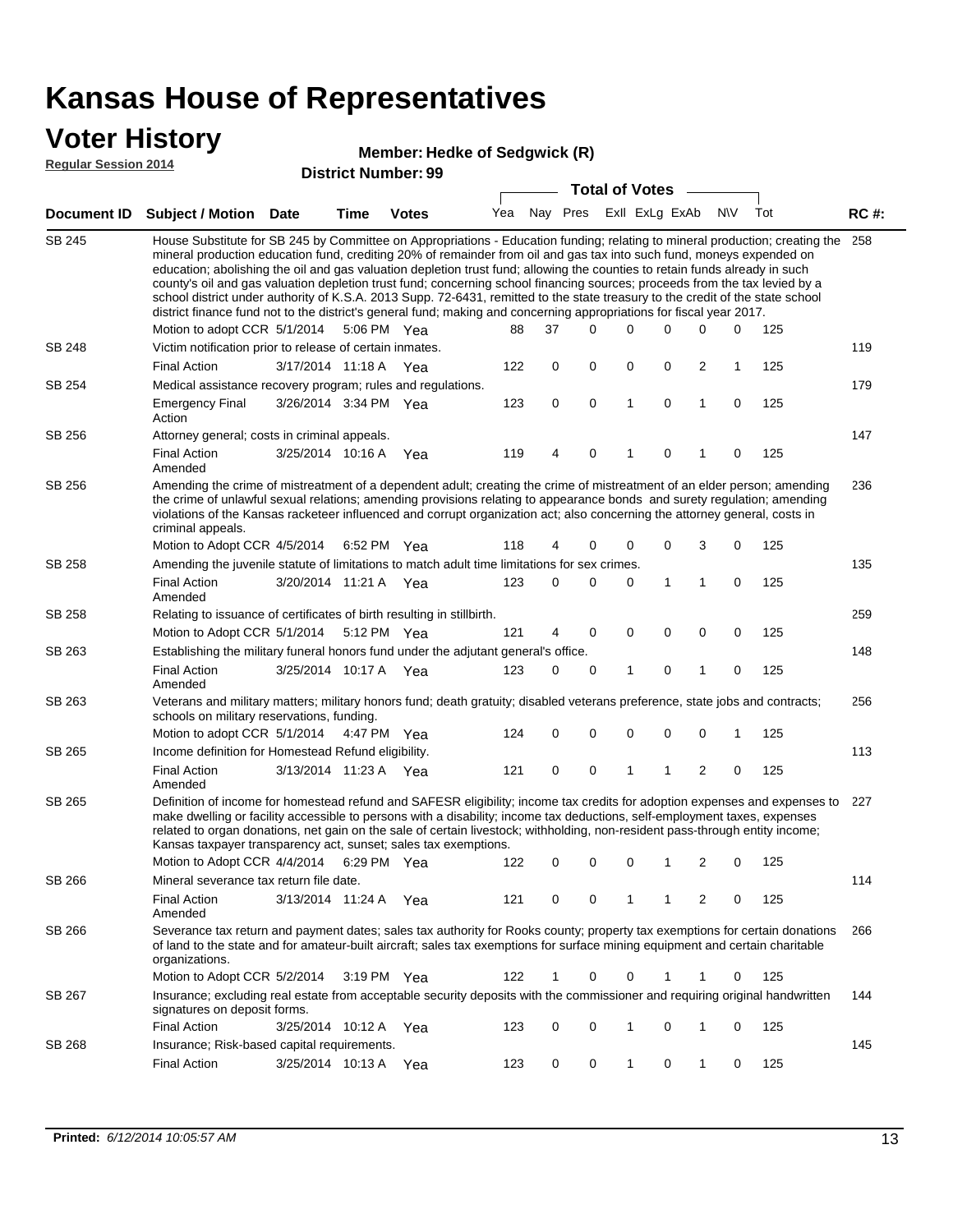### **Voter History**

#### **Member: Hedke of Sedgwick (R)**

**Regular Session 2014**

|               |                                                                                                                                                                                                                                                                                                                                                                                                                                                                                                                                                                                                                                                                                                                                                                                                                   |                       |             | มาวนางเ เงนเเม <del>งต</del> า. <i>วว</i> |     |    | <b>Total of Votes</b>       |   |             |                |             |     |             |
|---------------|-------------------------------------------------------------------------------------------------------------------------------------------------------------------------------------------------------------------------------------------------------------------------------------------------------------------------------------------------------------------------------------------------------------------------------------------------------------------------------------------------------------------------------------------------------------------------------------------------------------------------------------------------------------------------------------------------------------------------------------------------------------------------------------------------------------------|-----------------------|-------------|-------------------------------------------|-----|----|-----------------------------|---|-------------|----------------|-------------|-----|-------------|
|               | Document ID Subject / Motion Date                                                                                                                                                                                                                                                                                                                                                                                                                                                                                                                                                                                                                                                                                                                                                                                 |                       | <b>Time</b> | <b>Votes</b>                              |     |    | Yea Nay Pres ExII ExLg ExAb |   |             |                | <b>NV</b>   | Tot | <b>RC#:</b> |
| <b>SB 245</b> | House Substitute for SB 245 by Committee on Appropriations - Education funding; relating to mineral production; creating the 258<br>mineral production education fund, crediting 20% of remainder from oil and gas tax into such fund, moneys expended on<br>education; abolishing the oil and gas valuation depletion trust fund; allowing the counties to retain funds already in such<br>county's oil and gas valuation depletion trust fund; concerning school financing sources; proceeds from the tax levied by a<br>school district under authority of K.S.A. 2013 Supp. 72-6431, remitted to the state treasury to the credit of the state school<br>district finance fund not to the district's general fund; making and concerning appropriations for fiscal year 2017.<br>Motion to adopt CCR 5/1/2014 |                       |             | 5:06 PM Yea                               | 88  | 37 | 0                           | 0 | 0           | 0              | 0           | 125 |             |
| <b>SB 248</b> | Victim notification prior to release of certain inmates.                                                                                                                                                                                                                                                                                                                                                                                                                                                                                                                                                                                                                                                                                                                                                          |                       |             |                                           |     |    |                             |   |             |                |             |     | 119         |
|               | <b>Final Action</b>                                                                                                                                                                                                                                                                                                                                                                                                                                                                                                                                                                                                                                                                                                                                                                                               | 3/17/2014 11:18 A     |             | Yea                                       | 122 | 0  | 0                           | 0 | 0           | 2              | 1           | 125 |             |
| SB 254        | Medical assistance recovery program; rules and regulations.                                                                                                                                                                                                                                                                                                                                                                                                                                                                                                                                                                                                                                                                                                                                                       |                       |             |                                           |     |    |                             |   |             |                |             |     | 179         |
|               | <b>Emergency Final</b><br>Action                                                                                                                                                                                                                                                                                                                                                                                                                                                                                                                                                                                                                                                                                                                                                                                  | 3/26/2014 3:34 PM Yea |             |                                           | 123 | 0  | 0                           | 1 | 0           | $\mathbf{1}$   | 0           | 125 |             |
| SB 256        | Attorney general; costs in criminal appeals.                                                                                                                                                                                                                                                                                                                                                                                                                                                                                                                                                                                                                                                                                                                                                                      |                       |             |                                           |     |    |                             |   |             |                |             |     | 147         |
|               | <b>Final Action</b><br>Amended                                                                                                                                                                                                                                                                                                                                                                                                                                                                                                                                                                                                                                                                                                                                                                                    | 3/25/2014 10:16 A     |             | Yea                                       | 119 | 4  | 0                           | 1 | 0           | 1              | $\mathbf 0$ | 125 |             |
| SB 256        | Amending the crime of mistreatment of a dependent adult; creating the crime of mistreatment of an elder person; amending<br>the crime of unlawful sexual relations; amending provisions relating to appearance bonds and surety regulation; amending<br>violations of the Kansas racketeer influenced and corrupt organization act; also concerning the attorney general, costs in<br>criminal appeals.                                                                                                                                                                                                                                                                                                                                                                                                           |                       |             |                                           |     |    |                             |   |             |                |             |     | 236         |
|               | Motion to Adopt CCR 4/5/2014                                                                                                                                                                                                                                                                                                                                                                                                                                                                                                                                                                                                                                                                                                                                                                                      |                       |             | 6:52 PM Yea                               | 118 | 4  | 0                           | 0 | 0           | 3              | 0           | 125 |             |
| SB 258        | Amending the juvenile statute of limitations to match adult time limitations for sex crimes.                                                                                                                                                                                                                                                                                                                                                                                                                                                                                                                                                                                                                                                                                                                      |                       |             |                                           |     |    |                             |   |             |                |             |     | 135         |
|               | <b>Final Action</b><br>Amended                                                                                                                                                                                                                                                                                                                                                                                                                                                                                                                                                                                                                                                                                                                                                                                    | 3/20/2014 11:21 A Yea |             |                                           | 123 | 0  | 0                           | 0 | 1           | 1              | 0           | 125 |             |
| <b>SB 258</b> | Relating to issuance of certificates of birth resulting in stillbirth.                                                                                                                                                                                                                                                                                                                                                                                                                                                                                                                                                                                                                                                                                                                                            |                       |             |                                           |     |    |                             |   |             |                |             |     | 259         |
|               | Motion to Adopt CCR 5/1/2014 5:12 PM Yea                                                                                                                                                                                                                                                                                                                                                                                                                                                                                                                                                                                                                                                                                                                                                                          |                       |             |                                           | 121 | 4  | 0                           | 0 | 0           | 0              | 0           | 125 |             |
| SB 263        | Establishing the military funeral honors fund under the adjutant general's office.                                                                                                                                                                                                                                                                                                                                                                                                                                                                                                                                                                                                                                                                                                                                |                       |             |                                           |     |    |                             |   |             |                |             |     | 148         |
|               | <b>Final Action</b><br>Amended                                                                                                                                                                                                                                                                                                                                                                                                                                                                                                                                                                                                                                                                                                                                                                                    | 3/25/2014 10:17 A Yea |             |                                           | 123 | 0  | 0                           | 1 | 0           | 1              | 0           | 125 |             |
| SB 263        | Veterans and military matters; military honors fund; death gratuity; disabled veterans preference, state jobs and contracts;<br>schools on military reservations, funding.                                                                                                                                                                                                                                                                                                                                                                                                                                                                                                                                                                                                                                        |                       |             |                                           |     |    |                             |   |             |                |             |     | 256         |
|               | Motion to adopt CCR 5/1/2014 4:47 PM Yea                                                                                                                                                                                                                                                                                                                                                                                                                                                                                                                                                                                                                                                                                                                                                                          |                       |             |                                           | 124 | 0  | 0                           | 0 | $\mathbf 0$ | 0              | 1           | 125 |             |
| SB 265        | Income definition for Homestead Refund eligibility.                                                                                                                                                                                                                                                                                                                                                                                                                                                                                                                                                                                                                                                                                                                                                               |                       |             |                                           |     |    |                             |   |             |                |             |     | 113         |
|               | <b>Final Action</b><br>Amended                                                                                                                                                                                                                                                                                                                                                                                                                                                                                                                                                                                                                                                                                                                                                                                    | 3/13/2014 11:23 A Yea |             |                                           | 121 | 0  | 0                           | 1 | 1           | $\overline{2}$ | 0           | 125 |             |
| SB 265        | Definition of income for homestead refund and SAFESR eligibility; income tax credits for adoption expenses and expenses to<br>make dwelling or facility accessible to persons with a disability; income tax deductions, self-employment taxes, expenses<br>related to organ donations, net gain on the sale of certain livestock; withholding, non-resident pass-through entity income;<br>Kansas taxpayer transparency act, sunset; sales tax exemptions.<br>Motion to Adopt CCR 4/4/2014 6:29 PM Yea                                                                                                                                                                                                                                                                                                            |                       |             |                                           | 122 | 0  | 0                           | 0 | 1           | 2              | 0           | 125 | 227         |
| SB 266        | Mineral severance tax return file date.                                                                                                                                                                                                                                                                                                                                                                                                                                                                                                                                                                                                                                                                                                                                                                           |                       |             |                                           |     |    |                             |   |             |                |             |     | 114         |
|               | <b>Final Action</b><br>Amended                                                                                                                                                                                                                                                                                                                                                                                                                                                                                                                                                                                                                                                                                                                                                                                    | 3/13/2014 11:24 A     |             | Yea                                       | 121 | 0  | 0                           | 1 | 1           | 2              | 0           | 125 |             |
| SB 266        | Severance tax return and payment dates; sales tax authority for Rooks county; property tax exemptions for certain donations<br>of land to the state and for amateur-built aircraft; sales tax exemptions for surface mining equipment and certain charitable<br>organizations.                                                                                                                                                                                                                                                                                                                                                                                                                                                                                                                                    |                       |             |                                           |     |    |                             |   |             |                |             |     | 266         |
|               | Motion to Adopt CCR 5/2/2014                                                                                                                                                                                                                                                                                                                                                                                                                                                                                                                                                                                                                                                                                                                                                                                      |                       |             | $3:19 \text{ PM}$ Yea                     | 122 | 1  | 0                           | 0 | 1           | 1              | 0           | 125 |             |
| SB 267        | Insurance; excluding real estate from acceptable security deposits with the commissioner and requiring original handwritten<br>signatures on deposit forms.                                                                                                                                                                                                                                                                                                                                                                                                                                                                                                                                                                                                                                                       |                       |             |                                           |     |    |                             |   |             |                |             |     | 144         |
|               | <b>Final Action</b>                                                                                                                                                                                                                                                                                                                                                                                                                                                                                                                                                                                                                                                                                                                                                                                               | 3/25/2014 10:12 A Yea |             |                                           | 123 | 0  | 0                           | 1 | 0           | 1              | 0           | 125 |             |
| SB 268        | Insurance; Risk-based capital requirements.                                                                                                                                                                                                                                                                                                                                                                                                                                                                                                                                                                                                                                                                                                                                                                       |                       |             |                                           |     |    |                             |   |             |                |             |     | 145         |
|               | <b>Final Action</b>                                                                                                                                                                                                                                                                                                                                                                                                                                                                                                                                                                                                                                                                                                                                                                                               | 3/25/2014 10:13 A     |             | Yea                                       | 123 | 0  | 0                           | 1 | 0           | 1              | 0           | 125 |             |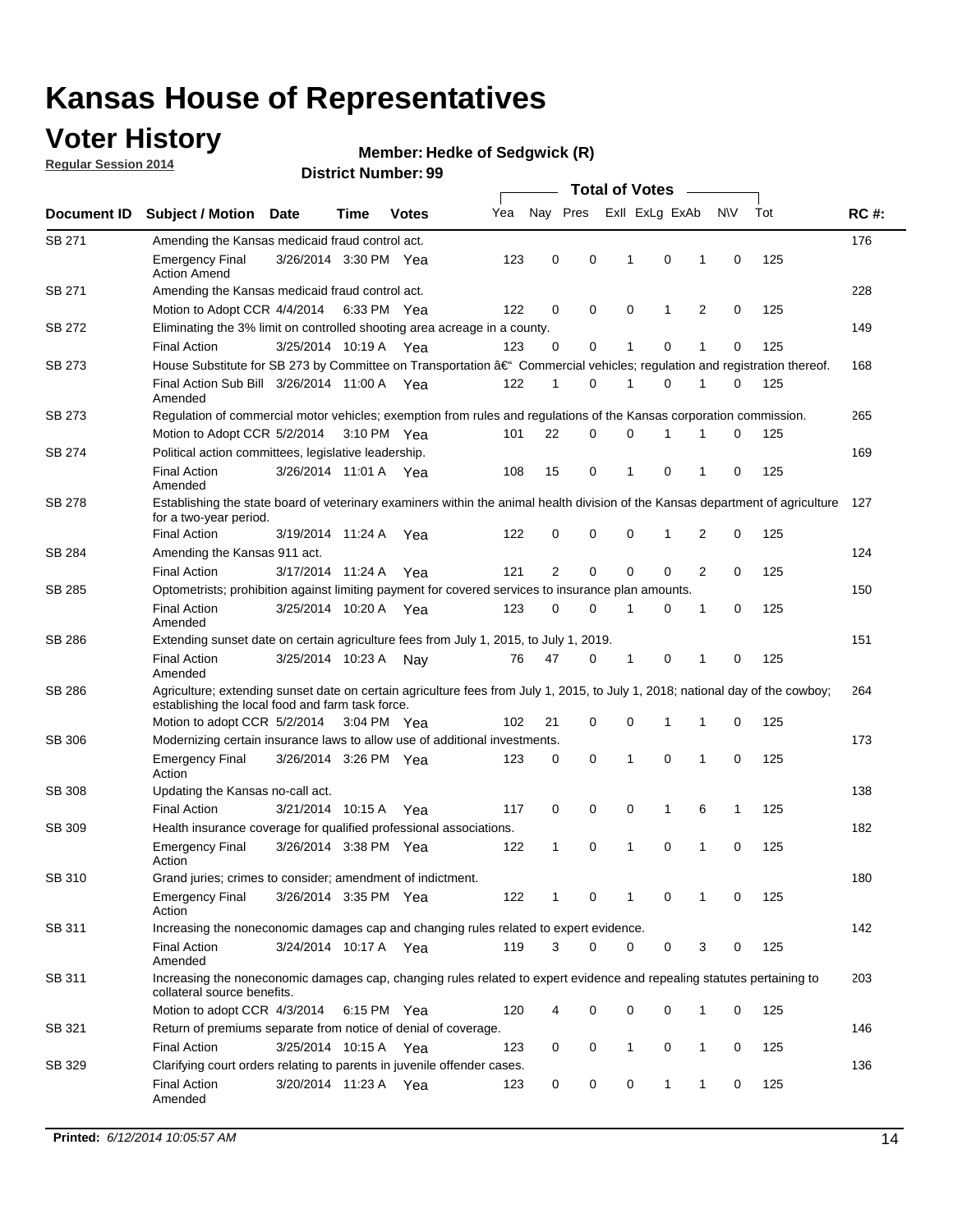## **Voter History**

**Regular Session 2014**

#### **Member: Hedke of Sedgwick (R)**

|               |                                                                                                                                                                                    |                       |             |       |     |                |          | <b>Total of Votes</b> |             |                |             |     |             |
|---------------|------------------------------------------------------------------------------------------------------------------------------------------------------------------------------------|-----------------------|-------------|-------|-----|----------------|----------|-----------------------|-------------|----------------|-------------|-----|-------------|
| Document ID   | <b>Subject / Motion Date</b>                                                                                                                                                       |                       | Time        | Votes | Yea | Nay Pres       |          | Exll ExLg ExAb        |             |                | <b>NV</b>   | Tot | <b>RC#:</b> |
| SB 271        | Amending the Kansas medicaid fraud control act.                                                                                                                                    |                       |             |       |     |                |          |                       |             |                |             |     | 176         |
|               | <b>Emergency Final</b><br><b>Action Amend</b>                                                                                                                                      | 3/26/2014 3:30 PM Yea |             |       | 123 | 0              | 0        | 1                     | $\mathbf 0$ | 1              | $\mathbf 0$ | 125 |             |
| SB 271        | Amending the Kansas medicaid fraud control act.                                                                                                                                    |                       |             |       |     |                |          |                       |             |                |             |     | 228         |
|               | Motion to Adopt CCR 4/4/2014 6:33 PM Yea                                                                                                                                           |                       |             |       | 122 | 0              | 0        | 0                     | 1           | $\overline{2}$ | 0           | 125 |             |
| SB 272        | Eliminating the 3% limit on controlled shooting area acreage in a county.                                                                                                          |                       |             |       |     |                |          |                       |             |                |             |     | 149         |
|               | <b>Final Action</b>                                                                                                                                                                | 3/25/2014 10:19 A Yea |             |       | 123 | 0              | 0        | 1                     | $\mathbf 0$ | 1              | $\mathbf 0$ | 125 |             |
| SB 273        | House Substitute for SB 273 by Committee on Transportation †Commercial vehicles; regulation and registration thereof.                                                              |                       |             |       |     |                |          |                       |             |                |             |     | 168         |
|               | Final Action Sub Bill 3/26/2014 11:00 A Yea<br>Amended                                                                                                                             |                       |             |       | 122 | 1              | 0        | 1                     | 0           | 1              | 0           | 125 |             |
| SB 273        | Regulation of commercial motor vehicles; exemption from rules and regulations of the Kansas corporation commission.                                                                |                       |             |       |     |                |          |                       |             |                |             |     | 265         |
|               | Motion to Adopt CCR 5/2/2014                                                                                                                                                       |                       | 3:10 PM Yea |       | 101 | 22             | 0        | 0                     |             |                | 0           | 125 |             |
| SB 274        | Political action committees, legislative leadership.                                                                                                                               |                       |             |       |     |                |          |                       |             |                |             |     | 169         |
|               | <b>Final Action</b><br>Amended                                                                                                                                                     | 3/26/2014 11:01 A Yea |             |       | 108 | 15             | 0        | 1                     | $\mathbf 0$ | 1              | 0           | 125 |             |
| <b>SB 278</b> | Establishing the state board of veterinary examiners within the animal health division of the Kansas department of agriculture<br>for a two-year period.                           |                       |             |       |     |                |          |                       |             |                |             |     | 127         |
|               | <b>Final Action</b>                                                                                                                                                                | 3/19/2014 11:24 A     |             | Yea   | 122 | 0              | 0        | 0                     | 1           | 2              | $\mathbf 0$ | 125 |             |
| SB 284        | Amending the Kansas 911 act.                                                                                                                                                       |                       |             |       |     |                |          |                       |             |                |             |     | 124         |
|               | <b>Final Action</b>                                                                                                                                                                | 3/17/2014 11:24 A     |             | Yea   | 121 | $\overline{2}$ | 0        | $\mathbf 0$           | $\mathbf 0$ | 2              | $\mathbf 0$ | 125 |             |
| SB 285        | Optometrists; prohibition against limiting payment for covered services to insurance plan amounts.                                                                                 |                       |             |       |     |                |          |                       |             |                |             |     | 150         |
|               | <b>Final Action</b><br>Amended                                                                                                                                                     | 3/25/2014 10:20 A Yea |             |       | 123 | 0              | 0        | 1                     | 0           | 1              | 0           | 125 |             |
| SB 286        | Extending sunset date on certain agriculture fees from July 1, 2015, to July 1, 2019.                                                                                              |                       |             |       |     |                |          |                       |             |                |             |     | 151         |
|               | <b>Final Action</b><br>Amended                                                                                                                                                     | 3/25/2014 10:23 A     |             | Nav   | 76  | 47             | 0        | 1                     | $\mathbf 0$ | 1              | $\mathbf 0$ | 125 |             |
| SB 286        | Agriculture; extending sunset date on certain agriculture fees from July 1, 2015, to July 1, 2018; national day of the cowboy;<br>establishing the local food and farm task force. |                       |             |       |     |                |          |                       |             |                |             |     | 264         |
|               | Motion to adopt CCR 5/2/2014 3:04 PM Yea                                                                                                                                           |                       |             |       | 102 | 21             | 0        | $\mathbf 0$           | 1           | 1              | 0           | 125 |             |
| SB 306        | Modernizing certain insurance laws to allow use of additional investments.                                                                                                         |                       |             |       |     |                |          |                       |             |                |             |     | 173         |
|               | <b>Emergency Final</b>                                                                                                                                                             | 3/26/2014 3:26 PM Yea |             |       | 123 | 0              | 0        | 1                     | 0           | 1              | $\mathbf 0$ | 125 |             |
|               | Action                                                                                                                                                                             |                       |             |       |     |                |          |                       |             |                |             |     |             |
| <b>SB 308</b> | Updating the Kansas no-call act.                                                                                                                                                   |                       |             |       |     |                |          |                       |             |                |             |     | 138         |
|               | <b>Final Action</b>                                                                                                                                                                | 3/21/2014 10:15 A     |             | Yea   | 117 | 0              | 0        | 0                     | 1           | 6              | 1           | 125 |             |
| SB 309        | Health insurance coverage for qualified professional associations.                                                                                                                 |                       |             |       |     |                |          |                       |             |                |             |     | 182         |
|               | <b>Emergency Final</b><br>Action                                                                                                                                                   | 3/26/2014 3:38 PM Yea |             |       | 122 | 1              | 0        | 1                     | $\mathbf 0$ | 1              | $\mathbf 0$ | 125 |             |
| SB 310        | Grand juries; crimes to consider; amendment of indictment.                                                                                                                         |                       |             |       |     |                |          |                       |             |                |             |     | 180         |
|               | <b>Emergency Final</b><br>Action                                                                                                                                                   | 3/26/2014 3:35 PM Yea |             |       | 122 |                | 0        |                       | 0           | 1              | 0           | 125 |             |
| SB 311        | Increasing the noneconomic damages cap and changing rules related to expert evidence.                                                                                              |                       |             |       |     |                |          |                       |             |                |             |     | 142         |
|               | <b>Final Action</b><br>Amended                                                                                                                                                     | 3/24/2014 10:17 A Yea |             |       | 119 | 3              | $\Omega$ | 0                     | 0           | 3              | 0           | 125 |             |
| SB 311        | Increasing the noneconomic damages cap, changing rules related to expert evidence and repealing statutes pertaining to<br>collateral source benefits.                              |                       |             |       |     |                |          |                       |             |                |             |     | 203         |
|               | Motion to adopt CCR 4/3/2014 6:15 PM Yea                                                                                                                                           |                       |             |       | 120 | 4              | 0        | 0                     | 0           | 1              | 0           | 125 |             |
| SB 321        | Return of premiums separate from notice of denial of coverage.                                                                                                                     |                       |             |       |     |                |          |                       |             |                |             |     | 146         |
|               | <b>Final Action</b>                                                                                                                                                                | 3/25/2014 10:15 A Yea |             |       | 123 | 0              | 0        | 1                     | 0           | $\mathbf{1}$   | 0           | 125 |             |
| SB 329        | Clarifying court orders relating to parents in juvenile offender cases.<br><b>Final Action</b><br>Amended                                                                          | 3/20/2014 11:23 A Yea |             |       | 123 | 0              | 0        | 0                     | 1           | 1              | 0           | 125 | 136         |
|               |                                                                                                                                                                                    |                       |             |       |     |                |          |                       |             |                |             |     |             |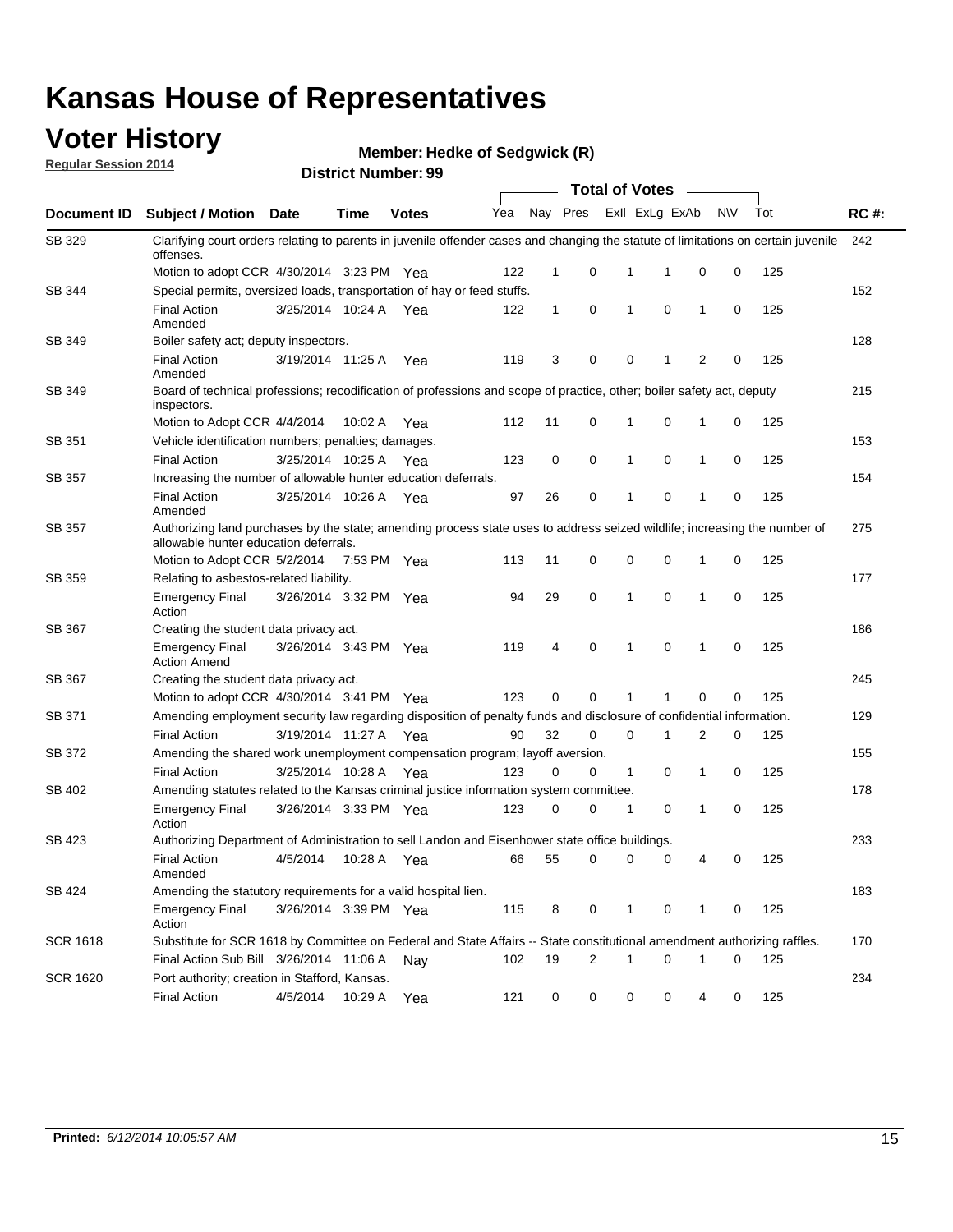### **Voter History**

**Regular Session 2014**

**Member: Hedke of Sedgwick (R)** 

|                 |                                                                                                                                                                    |                       |             |              | <b>Total of Votes</b> |              |                |                         |             |              |           |     |             |
|-----------------|--------------------------------------------------------------------------------------------------------------------------------------------------------------------|-----------------------|-------------|--------------|-----------------------|--------------|----------------|-------------------------|-------------|--------------|-----------|-----|-------------|
| Document ID     | <b>Subject / Motion Date</b>                                                                                                                                       |                       | Time        | <b>Votes</b> | Yea                   |              |                | Nay Pres ExII ExLg ExAb |             |              | <b>NV</b> | Tot | <b>RC#:</b> |
| SB 329          | Clarifying court orders relating to parents in juvenile offender cases and changing the statute of limitations on certain juvenile<br>offenses.                    |                       |             |              |                       |              |                |                         |             |              |           |     | 242         |
|                 | Motion to adopt CCR 4/30/2014 3:23 PM Yea                                                                                                                          |                       |             |              | 122                   | $\mathbf 1$  | 0              | 1                       | -1          | $\mathbf 0$  | 0         | 125 |             |
| SB 344          | Special permits, oversized loads, transportation of hay or feed stuffs.                                                                                            |                       |             |              |                       |              |                |                         |             |              |           |     | 152         |
|                 | <b>Final Action</b><br>Amended                                                                                                                                     | 3/25/2014 10:24 A     |             | Yea          | 122                   | $\mathbf{1}$ | 0              | $\mathbf{1}$            | $\mathbf 0$ | $\mathbf{1}$ | 0         | 125 |             |
| SB 349          | Boiler safety act; deputy inspectors.                                                                                                                              |                       |             |              |                       |              |                |                         |             |              |           |     | 128         |
|                 | <b>Final Action</b><br>Amended                                                                                                                                     | 3/19/2014 11:25 A     |             | Yea          | 119                   | 3            | 0              | 0                       | 1           | 2            | 0         | 125 |             |
| <b>SB 349</b>   | Board of technical professions; recodification of professions and scope of practice, other; boiler safety act, deputy<br>inspectors.                               |                       |             |              |                       |              |                |                         |             |              |           |     | 215         |
|                 | Motion to Adopt CCR 4/4/2014                                                                                                                                       |                       | 10:02 A     | Yea          | 112                   | 11           | 0              | 1                       | 0           | 1            | 0         | 125 |             |
| SB 351          | Vehicle identification numbers; penalties; damages.                                                                                                                |                       |             |              |                       |              |                |                         |             |              |           |     | 153         |
|                 | <b>Final Action</b>                                                                                                                                                | 3/25/2014 10:25 A     |             | Yea          | 123                   | 0            | 0              | $\mathbf{1}$            | 0           | 1            | 0         | 125 |             |
| <b>SB 357</b>   | Increasing the number of allowable hunter education deferrals.                                                                                                     |                       |             |              |                       |              |                |                         |             |              |           |     | 154         |
|                 | <b>Final Action</b><br>Amended                                                                                                                                     | 3/25/2014 10:26 A     |             | Yea          | 97                    | 26           | 0              | 1                       | 0           | 1            | 0         | 125 |             |
| SB 357          | Authorizing land purchases by the state; amending process state uses to address seized wildlife; increasing the number of<br>allowable hunter education deferrals. |                       |             |              |                       |              |                |                         |             |              |           |     | 275         |
|                 | Motion to Adopt CCR 5/2/2014                                                                                                                                       |                       | 7:53 PM Yea |              | 113                   | 11           | 0              | 0                       | 0           | 1            | 0         | 125 |             |
| SB 359          | Relating to asbestos-related liability.                                                                                                                            |                       |             |              |                       |              |                |                         |             |              |           |     | 177         |
|                 | <b>Emergency Final</b><br>Action                                                                                                                                   | 3/26/2014 3:32 PM Yea |             |              | 94                    | 29           | 0              | $\mathbf{1}$            | 0           | 1            | 0         | 125 |             |
| SB 367          | Creating the student data privacy act.                                                                                                                             |                       |             |              |                       |              |                |                         |             |              |           |     | 186         |
|                 | <b>Emergency Final</b><br><b>Action Amend</b>                                                                                                                      | 3/26/2014 3:43 PM Yea |             |              | 119                   | 4            | 0              | 1                       | 0           | 1            | 0         | 125 |             |
| SB 367          | Creating the student data privacy act.                                                                                                                             |                       |             |              |                       |              |                |                         |             |              |           |     | 245         |
|                 | Motion to adopt CCR 4/30/2014 3:41 PM Yea                                                                                                                          |                       |             |              | 123                   | 0            | 0              | 1                       | 1           | 0            | 0         | 125 |             |
| SB 371          | Amending employment security law regarding disposition of penalty funds and disclosure of confidential information.                                                |                       |             |              |                       |              |                |                         |             |              |           |     | 129         |
|                 | <b>Final Action</b>                                                                                                                                                | 3/19/2014 11:27 A Yea |             |              | 90                    | 32           | 0              | $\mathbf 0$             | 1           | 2            | 0         | 125 |             |
| SB 372          | Amending the shared work unemployment compensation program; layoff aversion.                                                                                       |                       |             |              |                       |              |                |                         |             |              |           |     | 155         |
|                 | <b>Final Action</b>                                                                                                                                                | 3/25/2014 10:28 A     |             | Yea          | 123                   | 0            | 0              | $\mathbf{1}$            | 0           | 1            | 0         | 125 |             |
| SB 402          | Amending statutes related to the Kansas criminal justice information system committee.                                                                             |                       |             |              |                       |              |                |                         |             |              |           |     | 178         |
|                 | <b>Emergency Final</b><br>Action                                                                                                                                   | 3/26/2014 3:33 PM Yea |             |              | 123                   | 0            | 0              | 1                       | 0           | 1            | 0         | 125 |             |
| SB 423          | Authorizing Department of Administration to sell Landon and Eisenhower state office buildings.                                                                     |                       |             |              |                       |              |                |                         |             |              |           |     | 233         |
|                 | <b>Final Action</b><br>Amended                                                                                                                                     | 4/5/2014              | 10:28 A     | Yea          | 66                    | 55           | 0              | 0                       | 0           | 4            | 0         | 125 |             |
| SB 424          | Amending the statutory requirements for a valid hospital lien.                                                                                                     |                       |             |              |                       |              |                |                         |             |              |           |     | 183         |
|                 | <b>Emergency Final</b><br>Action                                                                                                                                   | 3/26/2014 3:39 PM Yea |             |              | 115                   | 8            | 0              | 1                       | 0           | 1            | 0         | 125 |             |
| <b>SCR 1618</b> | Substitute for SCR 1618 by Committee on Federal and State Affairs -- State constitutional amendment authorizing raffles.                                           |                       |             |              |                       |              |                |                         |             |              |           |     | 170         |
|                 | Final Action Sub Bill 3/26/2014 11:06 A                                                                                                                            |                       |             | Nav          | 102                   | 19           | $\overline{2}$ | 1                       | 0           | 1            | 0         | 125 |             |
| <b>SCR 1620</b> | Port authority; creation in Stafford, Kansas.                                                                                                                      |                       |             |              |                       |              |                |                         |             |              |           |     | 234         |
|                 | <b>Final Action</b>                                                                                                                                                | 4/5/2014              | 10:29 A Yea |              | 121                   | 0            | 0              | 0                       | 0           | 4            | 0         | 125 |             |